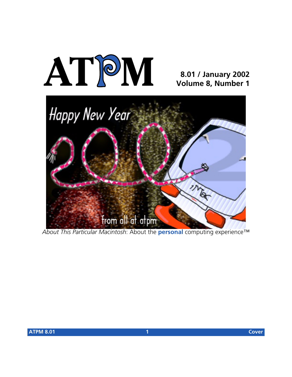

#### **8.01 / January 2002 Volume 8, Number 1**



*About This Particular Macintosh*: About the **personal** computing experience™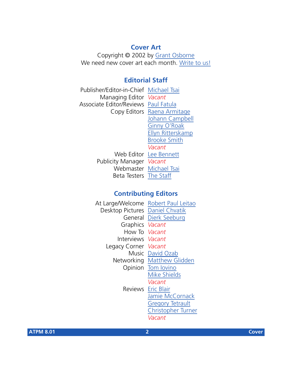#### **Cover Art**

Copyright © 2002 by [Grant Osborne](mailto:gosborne@atpm.com) We need new cover art each month. [Write to us!](mailto:cover-art@atpm.com)

#### **Editorial Staff**

Publisher/Editor-in-Chief [Michael Tsai](mailto:mtsai@atpm.com) Managing Editor *Vacant* Associate Editor/Reviews [Paul Fatula](mailto:pfatula@atpm.com) Copy Editors [Raena Armitage](mailto:rarmitage@atpm.com) [Johann Campbell](mailto:jcampbell@atpm.com) [Ginny O'Roak](mailto:goroak@atpm.com) [Ellyn Ritterskamp](mailto:eritterskamp@atpm.com) [Brooke Smith](mailto:bsmith@atpm.com) *Vacant* Web Editor [Lee Bennett](mailto:lbennett@atpm.com) Publicity Manager *Vacant* Webmaster [Michael Tsai](mailto:mtsai@atpm.com) Beta Testers [The Staff](mailto:editor@atpm.com)

#### **Contributing Editors**

At Large/Welcome Robert Paul Leitao Desktop Pictures [Daniel Chvatik](mailto:dchvatik@atpm.com) General [Dierk Seeburg](mailto:dseeburg@atpm.com) Graphics *Vacant* How To *Vacant* Interviews *Vacant* Legacy Corner *Vacant* Music [David Ozab](mailto:dozab@atpm.com) Networking [Matthew Glidden](mailto:mglidden@atpm.com) Opinion [Tom Iovino](mailto:tiovino@atpm.com) [Mike Shields](mailto:mshields@atpm.com) *Vacant* Reviews [Eric Blair](mailto:eblair@atpm.com) [Jamie McCornack](mailto:jmccornack@atpm.com) [Gregory Tetrault](mailto:gtetrault@atpm.com) [Christopher Turner](mailto:cturner@atpm.com) *Vacant*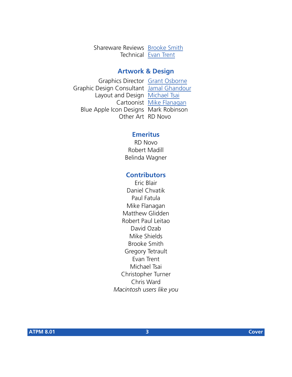Shareware Reviews [Brooke Smith](mailto:bsmith@atpm.com) Technical [Evan Trent](mailto:etrent@atpm.com)

#### **Artwork & Design**

Graphics Director [Grant Osborne](mailto:gosborne@atpm.com) Graphic Design Consultant [Jamal Ghandour](mailto:jghandour@atpm.com) Layout and Design [Michael Tsai](mailto:mtsai@atpm.com) Cartoonist [Mike Flanagan](mailto:sensible@sensible.screaming.net) Blue Apple Icon Designs Mark Robinson Other Art RD Novo

#### **Emeritus**

RD Novo Robert Madill Belinda Wagner

#### **Contributors**

Eric Blair Daniel Chvatik Paul Fatula Mike Flanagan Matthew Glidden Robert Paul Leitao David Ozab Mike Shields Brooke Smith Gregory Tetrault Evan Trent Michael Tsai Christopher Turner Chris Ward *Macintosh users like you*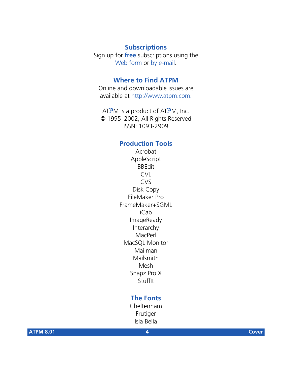#### **Subscriptions**

Sign up for **free** subscriptions using the [Web form](http://www.atpm.com/subscribe/) or [by e-mail.](mailto:subscriptions@atpm.com)

#### **Where to Find ATPM**

Online and downloadable issues are available at [http://www.atpm.com.](http://www.atpm.com)

ATPM is a product of ATPM, Inc. © 1995–2002, All Rights Reserved ISSN: 1093-2909

#### **Production Tools**

Acrobat AppleScript BBEdit CVL CVS Disk Copy FileMaker Pro FrameMaker+SGML iCab ImageReady Interarchy MacPerl MacSQL Monitor Mailman Mailsmith Mesh Snapz Pro X **StuffIt** 

#### **The Fonts**

Cheltenham Frutiger Isla Bella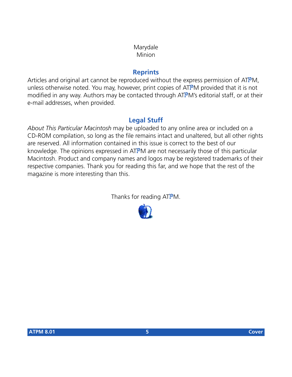#### Marydale Minion

#### **Reprints**

Articles and original art cannot be reproduced without the express permission of ATPM, unless otherwise noted. You may, however, print copies of ATPM provided that it is not modified in any way. Authors may be contacted through ATPM's editorial staff, or at their e-mail addresses, when provided.

#### **Legal Stuff**

*About This Particular Macintosh* may be uploaded to any online area or included on a CD-ROM compilation, so long as the file remains intact and unaltered, but all other rights are reserved. All information contained in this issue is correct to the best of our knowledge. The opinions expressed in ATPM are not necessarily those of this particular Macintosh. Product and company names and logos may be registered trademarks of their respective companies. Thank you for reading this far, and we hope that the rest of the magazine is more interesting than this.

Thanks for reading ATPM.

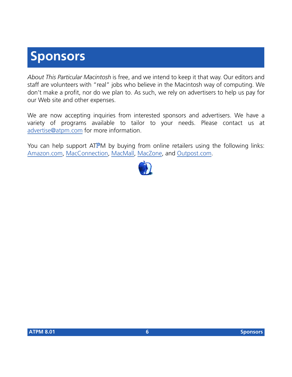## **Sponsors**

*About This Particular Macintosh* is free, and we intend to keep it that way. Our editors and staff are volunteers with "real" jobs who believe in the Macintosh way of computing. We don't make a profit, nor do we plan to. As such, we rely on advertisers to help us pay for our Web site and other expenses.

We are now accepting inquiries from interested sponsors and advertisers. We have a variety of programs available to tailor to your needs. Please contact us at [advertise@atpm.com](mailto:advertise@atpm.com) for more information.

You can help support ATPM by buying from online retailers using the following links: [Amazon.com](http://www.amazon.com/exec/obidos/redirect-home/aboutthisparticu), [MacConnection](http://service.bfast.com/bfast/click/mid9452939?siteid=13311227&bfpage=machomepage), [MacMall](http://www.commission-junction.com/track/track.dll?AID=53427&PID=297078&URL=http%3A%2F%2Fwww%2Emacmall%2Ecom%2Fmacaffiliate), [MacZone,](http://service.bfast.com/bfast/click?bfmid=1942029&siteid=26240435&bfpage=mac_zone) and [Outpost.com.](http://www.linksynergy.com/fs-bin/stat?id=N00D3BtDeo0&offerid=2161&type=3)

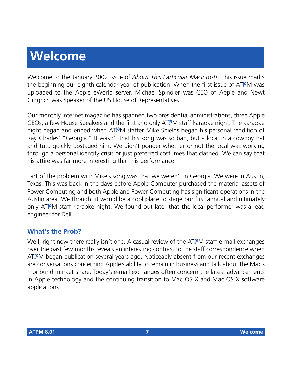# **Welcome**

Welcome to the January 2002 issue of *About This Particular Macintosh*! This issue marks the beginning our eighth calendar year of publication. When the first issue of ATPM was uploaded to the Apple eWorld server, Michael Spindler was CEO of Apple and Newt Gingrich was Speaker of the US House of Representatives.

Our monthly Internet magazine has spanned two presidential administrations, three Apple CEOs, a few House Speakers and the first and only ATPM staff karaoke night. The karaoke night began and ended when ATPM staffer Mike Shields began his personal rendition of Ray Charles' "Georgia." It wasn't that his song was so bad, but a local in a cowboy hat and tutu quickly upstaged him. We didn't ponder whether or not the local was working through a personal identity crisis or just preferred costumes that clashed. We can say that his attire was far more interesting than his performance.

Part of the problem with Mike's song was that we weren't in Georgia. We were in Austin, Texas. This was back in the days before Apple Computer purchased the material assets of Power Computing and both Apple and Power Computing has significant operations in the Austin area. We thought it would be a cool place to stage our first annual and ultimately only ATPM staff karaoke night. We found out later that the local performer was a lead engineer for Dell.

#### **What's the Prob?**

Well, right now there really isn't one. A casual review of the ATPM staff e-mail exchanges over the past few months reveals an interesting contrast to the staff correspondence when ATPM began publication several years ago. Noticeably absent from our recent exchanges are conversations concerning Apple's ability to remain in business and talk about the Mac's moribund market share. Today's e-mail exchanges often concern the latest advancements in Apple technology and the continuing transition to Mac OS X and Mac OS X software applications.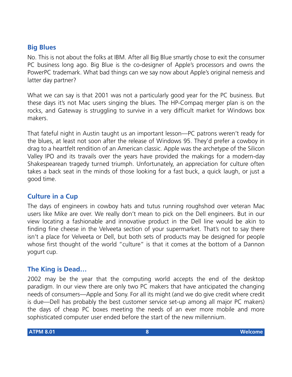#### **Big Blues**

No. This is not about the folks at IBM. After all Big Blue smartly chose to exit the consumer PC business long ago. Big Blue is the co-designer of Apple's processors and owns the PowerPC trademark. What bad things can we say now about Apple's original nemesis and latter day partner?

What we can say is that 2001 was not a particularly good year for the PC business. But these days it's not Mac users singing the blues. The HP-Compaq merger plan is on the rocks, and Gateway is struggling to survive in a very difficult market for Windows box makers.

That fateful night in Austin taught us an important lesson—PC patrons weren't ready for the blues, at least not soon after the release of Windows 95. They'd prefer a cowboy in drag to a heartfelt rendition of an American classic. Apple was the archetype of the Silicon Valley IPO and its travails over the years have provided the makings for a modern-day Shakespearean tragedy turned triumph. Unfortunately, an appreciation for culture often takes a back seat in the minds of those looking for a fast buck, a quick laugh, or just a good time.

#### **Culture in a Cup**

The days of engineers in cowboy hats and tutus running roughshod over veteran Mac users like Mike are over. We really don't mean to pick on the Dell engineers. But in our view locating a fashionable and innovative product in the Dell line would be akin to finding fine cheese in the Velveeta section of your supermarket. That's not to say there isn't a place for Velveeta or Dell, but both sets of products may be designed for people whose first thought of the world "culture" is that it comes at the bottom of a Dannon yogurt cup.

#### **The King is Dead…**

2002 may be the year that the computing world accepts the end of the desktop paradigm. In our view there are only two PC makers that have anticipated the changing needs of consumers—Apple and Sony. For all its might (and we do give credit where credit is due—Dell has probably the best customer service set-up among all major PC makers) the days of cheap PC boxes meeting the needs of an ever more mobile and more sophisticated computer user ended before the start of the new millennium.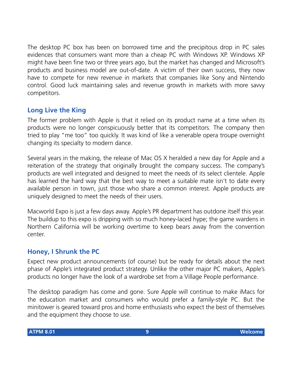The desktop PC box has been on borrowed time and the precipitous drop in PC sales evidences that consumers want more than a cheap PC with Windows XP. Windows XP might have been fine two or three years ago, but the market has changed and Microsoft's products and business model are out-of-date. A victim of their own success, they now have to compete for new revenue in markets that companies like Sony and Nintendo control. Good luck maintaining sales and revenue growth in markets with more savvy competitors.

#### **Long Live the King**

The former problem with Apple is that it relied on its product name at a time when its products were no longer conspicuously better that its competitors. The company then tried to play "me too" too quickly. It was kind of like a venerable opera troupe overnight changing its specialty to modern dance.

Several years in the making, the release of Mac OS X heralded a new day for Apple and a reiteration of the strategy that originally brought the company success. The company's products are well integrated and designed to meet the needs of its select clientele. Apple has learned the hard way that the best way to meet a suitable mate isn't to date every available person in town, just those who share a common interest. Apple products are uniquely designed to meet the needs of their users.

Macworld Expo is just a few days away. Apple's PR department has outdone itself this year. The buildup to this expo is dripping with so much honey-laced hype; the game wardens in Northern California will be working overtime to keep bears away from the convention center.

#### **Honey, I Shrunk the PC**

Expect new product announcements (of course) but be ready for details about the next phase of Apple's integrated product strategy. Unlike the other major PC makers, Apple's products no longer have the look of a wardrobe set from a Village People performance.

The desktop paradigm has come and gone. Sure Apple will continue to make iMacs for the education market and consumers who would prefer a family-style PC. But the minitower is geared toward pros and home enthusiasts who expect the best of themselves and the equipment they choose to use.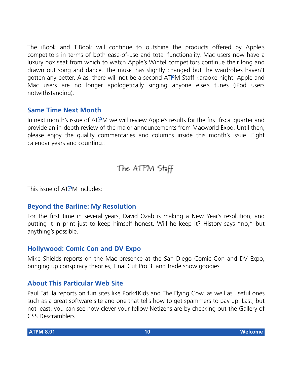The iBook and TiBook will continue to outshine the products offered by Apple's competitors in terms of both ease-of-use and total functionality. Mac users now have a luxury box seat from which to watch Apple's Wintel competitors continue their long and drawn out song and dance. The music has slightly changed but the wardrobes haven't gotten any better. Alas, there will not be a second ATPM Staff karaoke night. Apple and Mac users are no longer apologetically singing anyone else's tunes (iPod users notwithstanding).

#### **Same Time Next Month**

In next month's issue of ATPM we will review Apple's results for the first fiscal quarter and provide an in-depth review of the major announcements from Macworld Expo. Until then, please enjoy the quality commentaries and columns inside this month's issue. Eight calendar years and counting…

The ATPM Stoff

This issue of ATPM includes:

#### **Beyond the Barline: My Resolution**

For the first time in several years, David Ozab is making a New Year's resolution, and putting it in print just to keep himself honest. Will he keep it? History says "no," but anything's possible.

#### **Hollywood: Comic Con and DV Expo**

Mike Shields reports on the Mac presence at the San Diego Comic Con and DV Expo, bringing up conspiracy theories, Final Cut Pro 3, and trade show goodies.

#### **About This Particular Web Site**

Paul Fatula reports on fun sites like Pork4Kids and The Flying Cow, as well as useful ones such as a great software site and one that tells how to get spammers to pay up. Last, but not least, you can see how clever your fellow Netizens are by checking out the Gallery of CSS Descramblers.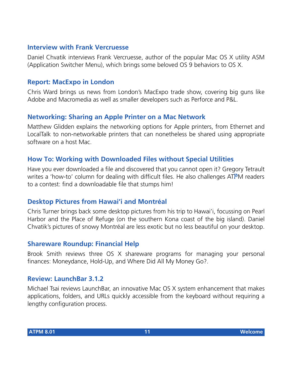#### **Interview with Frank Vercruesse**

Daniel Chvatik interviews Frank Vercruesse, author of the popular Mac OS X utility ASM (Application Switcher Menu), which brings some beloved OS 9 behaviors to OS X.

#### **Report: MacExpo in London**

Chris Ward brings us news from London's MacExpo trade show, covering big guns like Adobe and Macromedia as well as smaller developers such as Perforce and P&L.

#### **Networking: Sharing an Apple Printer on a Mac Network**

Matthew Glidden explains the networking options for Apple printers, from Ethernet and LocalTalk to non-networkable printers that can nonetheless be shared using appropriate software on a host Mac.

#### **How To: Working with Downloaded Files without Special Utilities**

Have you ever downloaded a file and discovered that you cannot open it? Gregory Tetrault writes a 'how-to' column for dealing with difficult files. He also challenges ATPM readers to a contest: find a downloadable file that stumps him!

#### **Desktop Pictures from Hawai'i and Montréal**

Chris Turner brings back some desktop pictures from his trip to Hawai'i, focussing on Pearl Harbor and the Place of Refuge (on the southern Kona coast of the big island). Daniel Chvatik's pictures of snowy Montréal are less exotic but no less beautiful on your desktop.

#### **Shareware Roundup: Financial Help**

Brook Smith reviews three OS X shareware programs for managing your personal finances: Moneydance, Hold-Up, and Where Did All My Money Go?.

#### **Review: LaunchBar 3.1.2**

Michael Tsai reviews LaunchBar, an innovative Mac OS X system enhancement that makes applications, folders, and URLs quickly accessible from the keyboard without requiring a lengthy configuration process.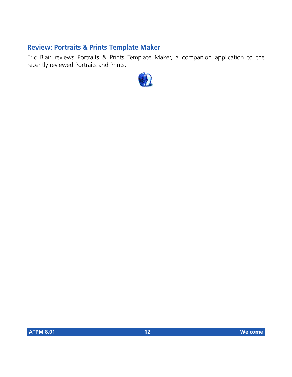#### **Review: Portraits & Prints Template Maker**

Eric Blair reviews Portraits & Prints Template Maker, a companion application to the recently reviewed Portraits and Prints.

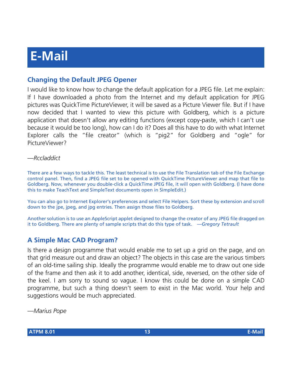#### **Changing the Default JPEG Opener**

I would like to know how to change the default application for a JPEG file. Let me explain: If I have downloaded a photo from the Internet and my default application for JPEG pictures was QuickTime PictureViewer, it will be saved as a Picture Viewer file. But if I have now decided that I wanted to view this picture with Goldberg, which is a picture application that doesn't allow any editing functions (except copy-paste, which I can't use because it would be too long), how can I do it? Does all this have to do with what Internet Explorer calls the "file creator" (which is "pig2" for Goldberg and "ogle" for PictureViewer?

#### *—Rccladdict*

There are a few ways to tackle this. The least technical is to use the File Translation tab of the File Exchange control panel. Then, find a JPEG file set to be opened with QuickTime PictureViewer and map that file to Goldberg. Now, whenever you double-click a QuickTime JPEG file, it will open with Goldberg. (I have done this to make TeachText and SimpleText documents open in SimpleEdit.)

You can also go to Internet Explorer's preferences and select File Helpers. Sort these by extension and scroll down to the jpe, jpeg, and jpg entries. Then assign those files to Goldberg.

Another solution is to use an AppleScript applet designed to change the creator of any JPEG file dragged on it to Goldberg. There are plenty of sample scripts that do this type of task. *—Gregory Tetrault*

#### **A Simple Mac CAD Program?**

Is there a design programme that would enable me to set up a grid on the page, and on that grid measure out and draw an object? The objects in this case are the various timbers of an old-time sailing ship. Ideally the programme would enable me to draw out one side of the frame and then ask it to add another, identical, side, reversed, on the other side of the keel. I am sorry to sound so vague. I know this could be done on a simple CAD programme, but such a thing doesn't seem to exist in the Mac world. Your help and suggestions would be much appreciated.

*—Marius Pope*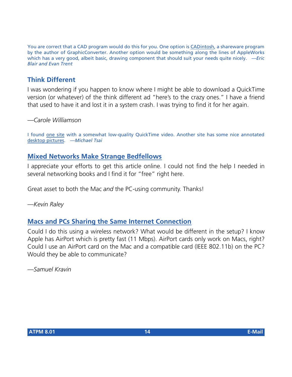You are correct that a CAD program would do this for you. One option is [CADintosh](http://www.lemkesoft.com/us_cadabout.html), a shareware program by the author of GraphicConverter. Another option would be something along the lines of AppleWorks which has a very good, albeit basic, drawing component that should suit your needs quite nicely. *—Eric Blair and Evan Trent*

#### **Think Different**

I was wondering if you happen to know where I might be able to download a QuickTime version (or whatever) of the think different ad "here's to the crazy ones." I have a friend that used to have it and lost it in a system crash. I was trying to find it for her again.

*—Carole Williamson*

I found [one site](http://www.uriah.com/apple-qt/think-different-one.html) with a somewhat low-quality QuickTime video. Another site has some nice annotated [desktop pictures](http://www.sleepingcat.com/other/thinkdifferent/). *—Michael Tsai*

#### **[Mixed Networks Make Strange Bedfellows](http://www.atpm.com/6.04/networking.shtml)**

I appreciate your efforts to get this article online. I could not find the help I needed in several networking books and I find it for "free" right here.

Great asset to both the Mac *and* the PC-using community. Thanks!

*—Kevin Raley*

#### **[Macs and PCs Sharing the Same Internet Connection](http://www.atpm.com/6.05/networking.shtml)**

Could I do this using a wireless network? What would be different in the setup? I know Apple has AirPort which is pretty fast (11 Mbps). AirPort cards only work on Macs, right? Could I use an AirPort card on the Mac and a compatible card (IEEE 802.11b) on the PC? Would they be able to communicate?

*—Samuel Kravin*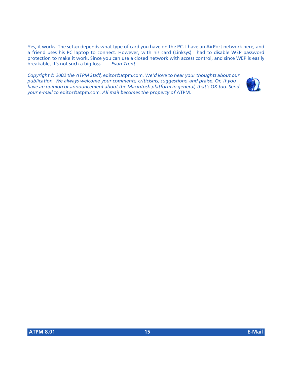Yes, it works. The setup depends what type of card you have on the PC. I have an AirPort network here, and a friend uses his PC laptop to connect. However, with his card (Linksys) I had to disable WEP password protection to make it work. Since you can use a closed network with access control, and since WEP is easily breakable, it's not such a big loss. *—Evan Trent*

*Copyright © 2002 the ATPM Staff,* [editor@atpm.com](mailto:editor@atpm.com)*. We'd love to hear your thoughts about our publication. We always welcome your comments, criticisms, suggestions, and praise. Or, if you have an opinion or announcement about the Macintosh platform in general, that's OK too. Send your e-mail to* [editor@atpm.com](mailto:editor@atpm.com)*. All mail becomes the property of* ATPM*.*

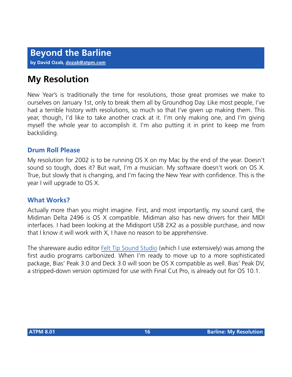### **My Resolution**

New Year's is traditionally the time for resolutions, those great promises we make to ourselves on January 1st, only to break them all by Groundhog Day. Like most people, I've had a terrible history with resolutions, so much so that I've given up making them. This year, though, I'd like to take another crack at it. I'm only making one, and I'm giving myself the whole year to accomplish it. I'm also putting it in print to keep me from backsliding.

#### **Drum Roll Please**

My resolution for 2002 is to be running OS X on my Mac by the end of the year. Doesn't sound so tough, does it? But wait, I'm a musician. My software doesn't work on OS X. True, but slowly that is changing, and I'm facing the New Year with confidence. This is the year I will upgrade to OS X.

#### **What Works?**

Actually more than you might imagine. First, and most importantly, my sound card, the Midiman Delta 2496 is OS X compatible. Midiman also has new drivers for their MIDI interfaces. I had been looking at the Midisport USB 2X2 as a possible purchase, and now that I know it will work with X, I have no reason to be apprehensive.

The shareware audio editor [Felt Tip Sound Studio](http://www.atpm.com/7.05/sound-studio.shtml) (which I use extensively) was among the first audio programs carbonized. When I'm ready to move up to a more sophisticated package, Bias' Peak 3.0 and Deck 3.0 will soon be OS X compatible as well. Bias' Peak DV, a stripped-down version optimized for use with Final Cut Pro, is already out for OS 10.1.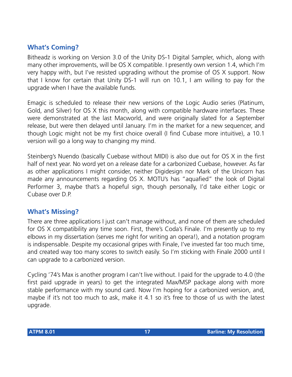#### **What's Coming?**

Bitheadz is working on Version 3.0 of the Unity DS-1 Digital Sampler, which, along with many other improvements, will be OS X compatible. I presently own version 1.4, which I'm very happy with, but I've resisted upgrading without the promise of OS X support. Now that I know for certain that Unity DS-1 will run on 10.1, I am willing to pay for the upgrade when I have the available funds.

Emagic is scheduled to release their new versions of the Logic Audio series (Platinum, Gold, and Silver) for OS X this month, along with compatible hardware interfaces. These were demonstrated at the last Macworld, and were originally slated for a September release, but were then delayed until January. I'm in the market for a new sequencer, and though Logic might not be my first choice overall (I find Cubase more intuitive), a 10.1 version will go a long way to changing my mind.

Steinberg's Nuendo (basically Cuebase without MIDI) is also due out for OS X in the first half of next year. No word yet on a release date for a carbonized Cuebase, however. As far as other applications I might consider, neither Digidesign nor Mark of the Unicorn has made any announcements regarding OS X. MOTU's has "aquafied" the look of Digital Performer 3, maybe that's a hopeful sign, though personally, I'd take either Logic or Cubase over D.P.

#### **What's Missing?**

There are three applications I just can't manage without, and none of them are scheduled for OS X compatibility any time soon. First, there's Coda's Finale. I'm presently up to my elbows in my dissertation (serves me right for writing an opera!), and a notation program is indispensable. Despite my occasional gripes with Finale, I've invested far too much time, and created way too many scores to switch easily. So I'm sticking with Finale 2000 until I can upgrade to a carbonized version.

Cycling '74's Max is another program I can't live without. I paid for the upgrade to 4.0 (the first paid upgrade in years) to get the integrated Max/MSP package along with more stable performance with my sound card. Now I'm hoping for a carbonized version, and, maybe if it's not too much to ask, make it 4.1 so it's free to those of us with the latest upgrade.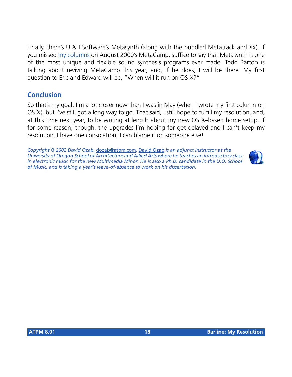Finally, there's U & I Software's Metasynth (along with the bundled Metatrack and Xx). If you missed [my columns](http://www.atpm.com/6.09/barline.shtml) on August 2000's MetaCamp, suffice to say that Metasynth is one of the most unique and flexible sound synthesis programs ever made. Todd Barton is talking about reviving MetaCamp this year, and, if he does, I will be there. My first question to Eric and Edward will be, "When will it run on OS X?"

#### **Conclusion**

So that's my goal. I'm a lot closer now than I was in May (when I wrote my first column on OS X), but I've still got a long way to go. That said, I still hope to fulfill my resolution, and, at this time next year, to be writing at length about my new OS X–based home setup. If for some reason, though, the upgrades I'm hoping for get delayed and I can't keep my resolution, I have one consolation: I can blame it on someone else!

*Copyright © 2002 David Ozab,* [dozab@atpm.com](mailto:dozab@atpm.com)*.* [David Ozab](http://darkwing.uoregon.edu/%7Edlo) *is an adjunct instructor at the University of Oregon School of Architecture and Allied Arts where he teaches an introductory class*  in electronic music for the new Multimedia Minor. He is also a Ph.D. candidate in the U.O. School *of Music, and is taking a year's leave-of-absence to work on his dissertation.*

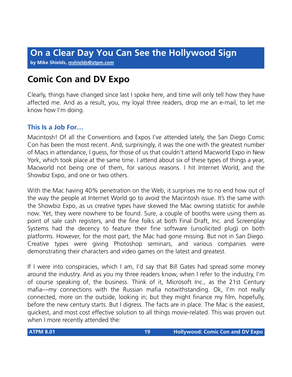**by Mike Shields, [mshields@atpm.com](mailto:mshields@atpm.com)**

### **Comic Con and DV Expo**

Clearly, things have changed since last I spoke here, and time will only tell how they have affected me. And as a result, you, my loyal three readers, drop me an e-mail, to let me know how I'm doing.

#### **This Is a Job For…**

Macintosh! Of all the Conventions and Expos I've attended lately, the San Diego Comic Con has been the most recent. And, surprisingly, it was the one with the greatest number of Macs in attendance, I guess, for those of us that couldn't attend Macworld Expo in New York, which took place at the same time. I attend about six of these types of things a year, Macworld not being one of them, for various reasons. I hit Internet World, and the Showbiz Expo, and one or two others.

With the Mac having 40% penetration on the Web, it surprises me to no end how out of the way the people at Internet World go to avoid the Macintosh issue. It's the same with the Showbiz Expo, as us creative types have skewed the Mac owning statistic for awhile now. Yet, they were nowhere to be found. Sure, a couple of booths were using them as point of sale cash registers, and the fine folks at both Final Draft, Inc. and Screenplay Systems had the decency to feature their fine software (unsolicited plug) on both platforms. However, for the most part, the Mac had gone missing. But not in San Diego. Creative types were giving Photoshop seminars, and various companies were demonstrating their characters and video games on the latest and greatest.

If I were into conspiracies, which I am, I'd say that Bill Gates had spread some money around the industry. And as you my three readers know, when I refer to the industry, I'm of course speaking of, the business. Think of it, Microsoft Inc., as the 21st Century mafia—my connections with the Russian mafia notwithstanding. Ok, I'm not really connected, more on the outside, looking in; but they might finance my film, hopefully, before the new century starts. But I digress. The facts are in place. The Mac is the easiest, quickest, and most cost effective solution to all things movie-related. This was proven out when I more recently attended the: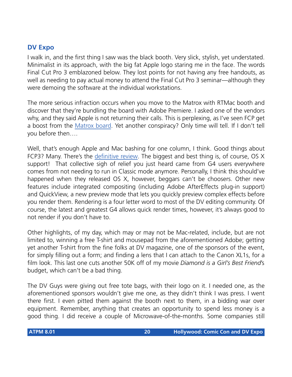#### **DV Expo**

I walk in, and the first thing I saw was the black booth. Very slick, stylish, yet understated. Minimalist in its approach, with the big fat Apple logo staring me in the face. The words Final Cut Pro 3 emblazoned below. They lost points for not having any free handouts, as well as needing to pay actual money to attend the Final Cut Pro 3 seminar—although they were demoing the software at the individual workstations.

The more serious infraction occurs when you move to the Matrox with RTMac booth and discover that they're bundling the board with Adobe Premiere. I asked one of the vendors why, and they said Apple is not returning their calls. This is perplexing, as I've seen FCP get a boost from the [Matrox board](http://www.matrox.com/videoWeb/products/enduser/rtmac_benefits.htm). Yet another conspiracy? Only time will tell. If I don't tell you before then….

Well, that's enough Apple and Mac bashing for one column, I think. Good things about FCP3? Many. There's the [definitive review.](http://www.2-pop.com/article/mainv/0,7220,32091,00.html) The biggest and best thing is, of course, OS X support! That collective sigh of relief you just heard came from G4 users everywhere comes from not needing to run in Classic mode anymore. Personally, I think this should've happened when they released OS X, however, beggars can't be choosers. Other new features include integrated compositing (including Adobe AfterEffects plug-in support) and QuickView, a new preview mode that lets you quickly preview complex effects before you render them. Rendering is a four letter word to most of the DV editing community. Of course, the latest and greatest G4 allows quick render times, however, it's always good to not render if you don't have to.

Other highlights, of my day, which may or may not be Mac-related, include, but are not limited to, winning a free T-shirt and mousepad from the aforementioned Adobe; getting yet another T-shirt from the fine folks at DV magazine, one of *the* sponsors of the event, for simply filling out a form; and finding a lens that I can attach to the Canon XL1s, for a film look. This last one cuts another 50K off of my movie *Diamond is a Girl's Best Friend*'s budget, which can't be a bad thing.

The DV Guys were giving out free tote bags, with their logo on it. I needed one, as the aforementioned sponsors wouldn't give me one, as they didn't think I was press. I went there first. I even pitted them against the booth next to them, in a bidding war over equipment. Remember, anything that creates an opportunity to spend less money is a good thing. I did receive a couple of Microwave-of-the-months. Some companies still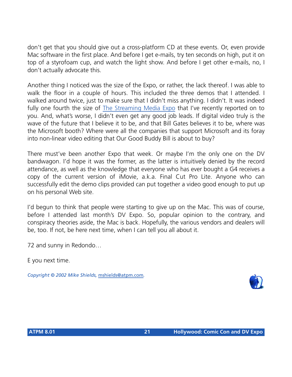don't get that you should give out a cross-platform CD at these events. Or, even provide Mac software in the first place. And before I get e-mails, try ten seconds on high, put it on top of a styrofoam cup, and watch the light show. And before I get other e-mails, no, I don't actually advocate this.

Another thing I noticed was the size of the Expo, or rather, the lack thereof. I was able to walk the floor in a couple of hours. This included the three demos that I attended. I walked around twice, just to make sure that I didn't miss anything. I didn't. It was indeed fully one fourth the size of [The Streaming Media Expo](http://www.atpm.com/7.07/hollywood.shtml) that I've recently reported on to you. And, what's worse, I didn't even get any good job leads. If digital video truly is the wave of the future that I believe it to be, and that Bill Gates believes it to be, where was the Microsoft booth? Where were all the companies that support Microsoft and its foray into non-linear video editing that Our Good Buddy Bill is about to buy?

There must've been another Expo that week. Or maybe I'm the only one on the DV bandwagon. I'd hope it was the former, as the latter is intuitively denied by the record attendance, as well as the knowledge that everyone who has ever bought a G4 receives a copy of the current version of iMovie, a.k.a. Final Cut Pro Lite. Anyone who can successfully edit the demo clips provided can put together a video good enough to put up on his personal Web site.

I'd begun to think that people were starting to give up on the Mac. This was of course, before I attended last month's DV Expo. So, popular opinion to the contrary, and conspiracy theories aside, the Mac is back. Hopefully, the various vendors and dealers will be, too. If not, be here next time, when I can tell you all about it.

72 and sunny in Redondo…

E you next time.

*Copyright © 2002 Mike Shields,* [mshields@atpm.com](mailto:mshields@atpm.com)*.*

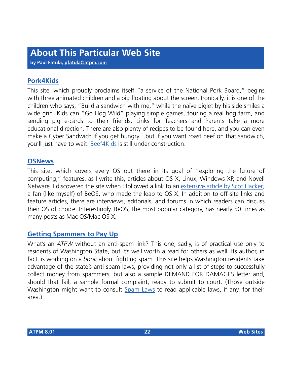**by Paul Fatula, [pfatula@atpm.com](mailto:pfatula@atpm.com)**

#### **[Pork4Kids](http://www.pork4Kids.com/default.asp)**

This site, which proudly proclaims itself "a service of the National Pork Board," begins with three animated children and a pig floating about the screen. Ironically, it is one of the children who says, "Build a sandwich with me," while the naïve piglet by his side smiles a wide grin. Kids can "Go Hog Wild" playing simple games, touring a real hog farm, and sending pig e-cards to their friends. Links for Teachers and Parents take a more educational direction. There are also plenty of recipes to be found here, and you can even make a Cyber Sandwich if you get hungry…but if you want roast beef on that sandwich, you'll just have to wait: [Beef4Kids](http://www.beef4Kids.com) is still under construction.

#### **[OSNews](http://www.osnews.com/)**

This site, which covers every OS out there in its goal of "exploring the future of computing," features, as I write this, articles about OS X, Linux, Windows XP, and Novell Netware. I discovered the site when I followed a link to an [extensive article by Scot Hacker,](http://www.osnews.com/story.php?news_id=421) a fan (like myself) of BeOS, who made the leap to OS X. In addition to off-site links and feature articles, there are interviews, editorials, and forums in which readers can discuss their OS of choice. Interestingly, BeOS, the most popular category, has nearly 50 times as many posts as Mac OS/Mac OS X.

#### **[Getting Spammers to Pay Up](http://www.wa-state-resident.com/tugpayup.htm)**

What's an *ATPW* without an anti-spam link? This one, sadly, is of practical use only to residents of Washington State, but it's well worth a read for others as well. Its author, in fact, is working on a *book* about fighting spam. This site helps Washington residents take advantage of the state's anti-spam laws, providing not only a list of steps to successfully collect money from spammers, but also a sample DEMAND FOR DAMAGES letter and, should that fail, a sample formal complaint, ready to submit to court. (Those outside Washington might want to consult [Spam Laws](http://www.spamlaws.com) to read applicable laws, if any, for their area.)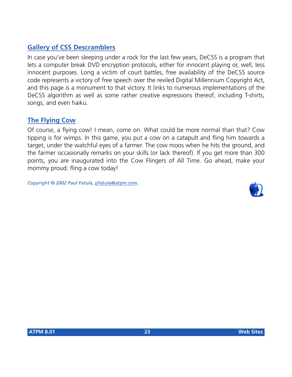#### **[Gallery of CSS Descramblers](http://www-2.cs.cmu.edu/%7Edst/DeCSS/Gallery/index.html)**

In case you've been sleeping under a rock for the last few years, DeCSS is a program that lets a computer break DVD encryption protocols, either for innocent playing or, well, less innocent purposes. Long a victim of court battles, free availability of the DeCSS source code represents a victory of free speech over the reviled Digital Millennium Copyright Act, and this page is a monument to that victory. It links to numerous implementations of the DeCSS algorithm as well as some rather creative expressions thereof, including T-shirts, songs, and even haiku.

#### **[The Flying Cow](http://www.flingthecow.com/)**

Of course, a flying cow! I mean, come on. What could be more normal than that? Cow tipping is for wimps. In this game, you put a cow on a catapult and fling him towards a target, under the watchful eyes of a farmer. The cow moos when he hits the ground, and the farmer occasionally remarks on your skills (or lack thereof). If you get more than 300 points, you are inaugurated into the Cow Flingers of All Time. Go ahead, make your mommy proud: fling a cow today!

*Copyright © 2002 Paul Fatula,* [pfatula@atpm.com](mailto:pfatula@atpm.com)*.*

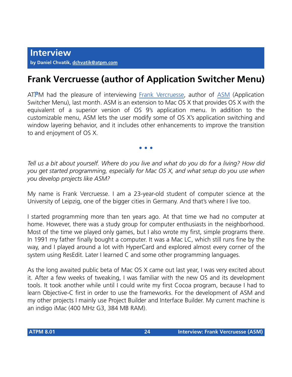### **Frank Vercruesse (author of Application Switcher Menu)**

ATPM had the pleasure of interviewing [Frank Vercruesse,](mailto:frank@vercruesse.de) author of [ASM](http://asm.vercruesse.de/) (Application Switcher Menu), last month. ASM is an extension to Mac OS X that provides OS X with the equivalent of a superior version of OS 9's application menu. In addition to the customizable menu, ASM lets the user modify some of OS X's application switching and window layering behavior, and it includes other enhancements to improve the transition to and enjoyment of OS X.

**• • •**

*Tell us a bit about yourself. Where do you live and what do you do for a living? How did you get started programming, especially for Mac OS X, and what setup do you use when you develop projects like ASM?*

My name is Frank Vercruesse. I am a 23-year-old student of computer science at the University of Leipzig, one of the bigger cities in Germany. And that's where I live too.

I started programming more than ten years ago. At that time we had no computer at home. However, there was a study group for computer enthusiasts in the neighborhood. Most of the time we played only games, but I also wrote my first, simple programs there. In 1991 my father finally bought a computer. It was a Mac LC, which still runs fine by the way, and I played around a lot with HyperCard and explored almost every corner of the system using ResEdit. Later I learned C and some other programming languages.

As the long awaited public beta of Mac OS X came out last year, I was very excited about it. After a few weeks of tweaking, I was familiar with the new OS and its development tools. It took another while until I could write my first Cocoa program, because I had to learn Objective-C first in order to use the frameworks. For the development of ASM and my other projects I mainly use Project Builder and Interface Builder. My current machine is an indigo iMac (400 MHz G3, 384 MB RAM).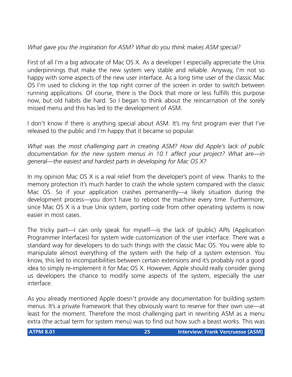#### *What gave you the inspiration for ASM? What do you think makes ASM special?*

First of all I'm a big advocate of Mac OS X. As a developer I especially appreciate the Unix underpinnings that make the new system very stable and reliable. Anyway, I'm not so happy with some aspects of the new user interface. As a long time user of the classic Mac OS I'm used to clicking in the top right corner of the screen in order to switch between running applications. Of course, there is the Dock that more or less fulfills this purpose now, but old habits die hard. So I began to think about the reincarnation of the sorely missed menu and this has led to the development of ASM.

I don't know if there is anything special about ASM. It's my first program ever that I've released to the public and I'm happy that it became so popular.

*What was the most challenging part in creating ASM? How did Apple's lack of public documentation for the new system menus in 10.1 affect your project? What are—in general—the easiest and hardest parts in developing for Mac OS X?*

In my opinion Mac OS X is a real relief from the developer's point of view. Thanks to the memory protection it's much harder to crash the whole system compared with the classic Mac OS. So if your application crashes permanently—a likely situation during the development process—you don't have to reboot the machine every time. Furthermore, since Mac OS X is a true Unix system, porting code from other operating systems is now easier in most cases.

The tricky part—I can only speak for myself—is the lack of (public) APIs (Application Programmer Interfaces) for system wide customization of the user interface. There was a standard way for developers to do such things with the classic Mac OS. You were able to manipulate almost everything of the system with the help of a system extension. You know, this led to incompatibilities between certain extensions and it's probably not a good idea to simply re-implement it for Mac OS X. However, Apple should really consider giving us developers the chance to modify some aspects of the system, especially the user interface.

As you already mentioned Apple doesn't provide any documentation for building system menus. It's a private framework that they obviously want to reserve for their own use—at least for the moment. Therefore the most challenging part in rewriting ASM as a menu extra (the actual term for system menu) was to find out how such a beast works. This was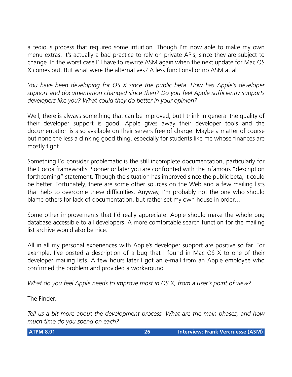a tedious process that required some intuition. Though I'm now able to make my own menu extras, it's actually a bad practice to rely on private APIs, since they are subject to change. In the worst case I'll have to rewrite ASM again when the next update for Mac OS X comes out. But what were the alternatives? A less functional or no ASM at all!

*You have been developing for OS X since the public beta. How has Apple's developer support and documentation changed since then? Do you feel Apple sufficiently supports developers like you? What could they do better in your opinion?*

Well, there is always something that can be improved, but I think in general the quality of their developer support is good. Apple gives away their developer tools and the documentation is also available on their servers free of charge. Maybe a matter of course but none the less a clinking good thing, especially for students like me whose finances are mostly tight.

Something I'd consider problematic is the still incomplete documentation, particularly for the Cocoa frameworks. Sooner or later you are confronted with the infamous "description forthcoming" statement. Though the situation has improved since the public beta, it could be better. Fortunately, there are some other sources on the Web and a few mailing lists that help to overcome these difficulties. Anyway, I'm probably not the one who should blame others for lack of documentation, but rather set my own house in order…

Some other improvements that I'd really appreciate: Apple should make the whole bug database accessible to all developers. A more comfortable search function for the mailing list archive would also be nice.

All in all my personal experiences with Apple's developer support are positive so far. For example, I've posted a description of a bug that I found in Mac OS X to one of their developer mailing lists. A few hours later I got an e-mail from an Apple employee who confirmed the problem and provided a workaround.

*What do you feel Apple needs to improve most in OS X, from a user's point of view?*

The Finder.

*Tell us a bit more about the development process. What are the main phases, and how much time do you spend on each?*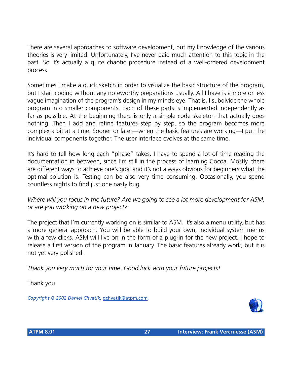There are several approaches to software development, but my knowledge of the various theories is very limited. Unfortunately, I've never paid much attention to this topic in the past. So it's actually a quite chaotic procedure instead of a well-ordered development process.

Sometimes I make a quick sketch in order to visualize the basic structure of the program, but I start coding without any noteworthy preparations usually. All I have is a more or less vague imagination of the program's design in my mind's eye. That is, I subdivide the whole program into smaller components. Each of these parts is implemented independently as far as possible. At the beginning there is only a simple code skeleton that actually does nothing. Then I add and refine features step by step, so the program becomes more complex a bit at a time. Sooner or later—when the basic features are working—I put the individual components together. The user interface evolves at the same time.

It's hard to tell how long each "phase" takes. I have to spend a lot of time reading the documentation in between, since I'm still in the process of learning Cocoa. Mostly, there are different ways to achieve one's goal and it's not always obvious for beginners what the optimal solution is. Testing can be also very time consuming. Occasionally, you spend countless nights to find just one nasty bug.

*Where will you focus in the future? Are we going to see a lot more development for ASM, or are you working on a new project?*

The project that I'm currently working on is similar to ASM. It's also a menu utility, but has a more general approach. You will be able to build your own, individual system menus with a few clicks. ASM will live on in the form of a plug-in for the new project. I hope to release a first version of the program in January. The basic features already work, but it is not yet very polished.

*Thank you very much for your time. Good luck with your future projects!*

Thank you.

*Copyright © 2002 Daniel Chvatik,* [dchvatik@atpm.com](mailto:dchvatik@atpm.com)*.*

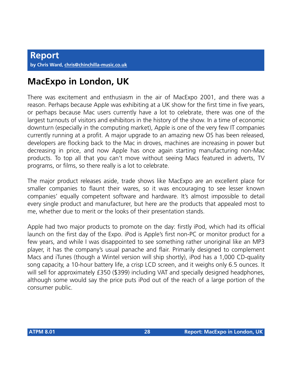### **MacExpo in London, UK**

There was excitement and enthusiasm in the air of MacExpo 2001, and there was a reason. Perhaps because Apple was exhibiting at a UK show for the first time in five years, or perhaps because Mac users currently have a lot to celebrate, there was one of the largest turnouts of visitors and exhibitors in the history of the show. In a time of economic downturn (especially in the computing market), Apple is one of the very few IT companies currently running at a profit. A major upgrade to an amazing new OS has been released, developers are flocking back to the Mac in droves, machines are increasing in power but decreasing in price, and now Apple has once again starting manufacturing non-Mac products. To top all that you can't move without seeing Macs featured in adverts, TV programs, or films, so there really is a lot to celebrate.

The major product releases aside, trade shows like MacExpo are an excellent place for smaller companies to flaunt their wares, so it was encouraging to see lesser known companies' equally competent software and hardware. It's almost impossible to detail every single product and manufacturer, but here are the products that appealed most to me, whether due to merit or the looks of their presentation stands.

Apple had two major products to promote on the day: firstly iPod, which had its official launch on the first day of the Expo. iPod is Apple's first non-PC or monitor product for a few years, and while I was disappointed to see something rather unoriginal like an MP3 player, it has the company's usual panache and flair. Primarily designed to complement Macs and iTunes (though a Wintel version will ship shortly), iPod has a 1,000 CD-quality song capacity, a 10-hour battery life, a crisp LCD screen, and it weighs only 6.5 ounces. It will sell for approximately £350 (\$399) including VAT and specially designed headphones, although some would say the price puts iPod out of the reach of a large portion of the consumer public.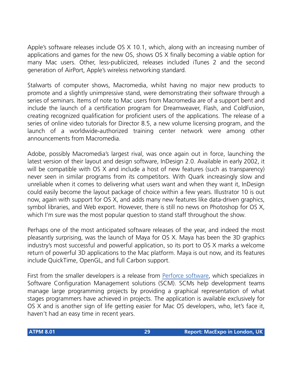Apple's software releases include OS X 10.1, which, along with an increasing number of applications and games for the new OS, shows OS X finally becoming a viable option for many Mac users. Other, less-publicized, releases included iTunes 2 and the second generation of AirPort, Apple's wireless networking standard.

Stalwarts of computer shows, Macromedia, whilst having no major new products to promote and a slightly unimpressive stand, were demonstrating their software through a series of seminars. Items of note to Mac users from Macromedia are of a support bent and include the launch of a certification program for Dreamweaver, Flash, and ColdFusion, creating recognized qualification for proficient users of the applications. The release of a series of online video tutorials for Director 8.5, a new volume licensing program, and the launch of a worldwide-authorized training center network were among other announcements from Macromedia.

Adobe, possibly Macromedia's largest rival, was once again out in force, launching the latest version of their layout and design software, InDesign 2.0. Available in early 2002, it will be compatible with OS X and include a host of new features (such as transparency) never seen in similar programs from its competitors. With Quark increasingly slow and unreliable when it comes to delivering what users want and when they want it, InDesign could easily become the layout package of choice within a few years. Illustrator 10 is out now, again with support for OS X, and adds many new features like data-driven graphics, symbol libraries, and Web export. However, there is still no news on Photoshop for OS X, which I'm sure was the most popular question to stand staff throughout the show.

Perhaps one of the most anticipated software releases of the year, and indeed the most pleasantly surprising, was the launch of Maya for OS X. Maya has been the 3D graphics industry's most successful and powerful application, so its port to OS X marks a welcome return of powerful 3D applications to the Mac platform. Maya is out now, and its features include QuickTime, OpenGL, and full Carbon support.

First from the smaller developers is a release from [Perforce software,](http://www.perforce.com) which specializes in Software Configuration Management solutions (SCM). SCMs help development teams manage large programming projects by providing a graphical representation of what stages programmers have achieved in projects. The application is available exclusively for OS X and is another sign of life getting easier for Mac OS developers, who, let's face it, haven't had an easy time in recent years.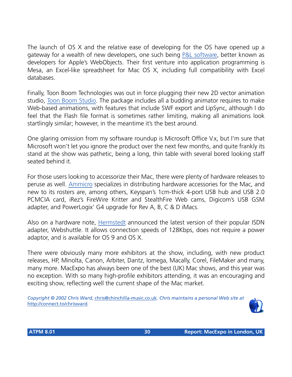The launch of OS X and the relative ease of developing for the OS have opened up a gateway for a wealth of new developers, one such being [P&L software](http://www.plsys.co.uk), better known as developers for Apple's WebObjects. Their first venture into application programming is Mesa, an Excel-like spreadsheet for Mac OS X, including full compatibility with Excel databases.

Finally, Toon Boom Technologies was out in force plugging their new 2D vector animation studio, [Toon Boom Studio](http://www.toonboomstudio.com). The package includes all a budding animator requires to make Web-based animations, with features that include SWF export and LipSync, although I do feel that the Flash file format is sometimes rather limiting, making all animations look startlingly similar; however, in the meantime it's the best around.

One glaring omission from my software roundup is Microsoft Office V.x, but I'm sure that Microsoft won't let you ignore the product over the next few months, and quite frankly its stand at the show was pathetic, being a long, thin table with several bored looking staff seated behind it.

For those users looking to accessorize their Mac, there were plenty of hardware releases to peruse as well. [Ammicro](http://www.ammicro.co.uk) specializes in distributing hardware accessories for the Mac, and new to its rosters are, among others, Keyspan's 1cm-thick 4-port USB hub and USB 2.0 PCMCIA card, iRez's FireWire Kritter and StealthFire Web cams, Digicom's USB GSM adapter, and PowerLogix' G4 upgrade for Rev A, B, C & D iMacs.

Also on a hardware note, [Hermstedt](http://www.hermstedt.co.uk) announced the latest version of their popular ISDN adapter, Webshuttle. It allows connection speeds of 128Kbps, does not require a power adaptor, and is available for OS 9 and OS X.

There were obviously many more exhibitors at the show, including, with new product releases, HP, Minolta, Canon, Arbiter, Dantz, Iomega, Macally, Corel, FileMaker and many, many more. MacExpo has always been one of the best (UK) Mac shows, and this year was no exception. With so many high-profile exhibitors attending, it was an encouraging and exciting show, reflecting well the current shape of the Mac market.

*Copyright © 2002 Chris Ward,* [chris@chinchilla-music.co.uk](mailto:chris@chinchilla-music.co.uk)*. Chris maintains a personal Web site at*  <http://connect.to/chrisward>*.*

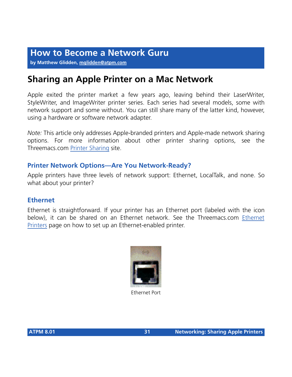**by Matthew Glidden, [mglidden@atpm.com](mailto:mglidden@atpm.com)**

### **Sharing an Apple Printer on a Mac Network**

Apple exited the printer market a few years ago, leaving behind their LaserWriter, StyleWriter, and ImageWriter printer series. Each series had several models, some with network support and some without. You can still share many of the latter kind, however, using a hardware or software network adapter.

*Note:* This article only addresses Apple-branded printers and Apple-made network sharing options. For more information about other printer sharing options, see the Threemacs.com [Printer Sharing](http://www.atpm.com/network/add_network/share_printer/index.html) site.

#### **Printer Network Options—Are You Network-Ready?**

Apple printers have three levels of network support: Ethernet, LocalTalk, and none. So what about your printer?

#### **Ethernet**

Ethernet is straightforward. If your printer has an Ethernet port (labeled with the icon below), it can be shared on an Ethernet network. See the Threemacs.com [Ethernet](http://www.atpm.com/network/add_network/share_printer/Ethernet.html) [Printers](http://www.atpm.com/network/add_network/share_printer/Ethernet.html) page on how to set up an Ethernet-enabled printer.



Ethernet Port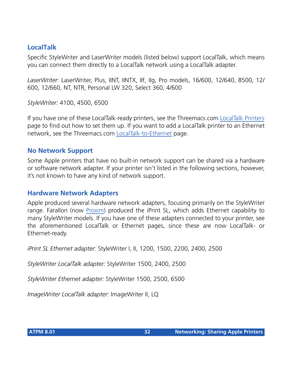#### **LocalTalk**

Specific StyleWriter and LaserWriter models (listed below) support LocalTalk, which means you can connect them directly to a LocalTalk network using a LocalTalk adapter.

*LaserWriter:* LaserWriter, Plus, IINT, IINTX, IIf, IIg, Pro models, 16/600, 12/640, 8500, 12/ 600, 12/660, NT, NTR, Personal LW 320, Select 360, 4/600

*StyleWriter:* 4100, 4500, 6500

If you have one of these LocalTalk-ready printers, see the Threemacs.com [LocalTalk Printers](http://www.atpm.com/network/add_network/share_printer/localtalk.html) page to find out how to set them up. If you want to add a LocalTalk printer to an Ethernet network, see the Threemacs.com [LocalTalk-to-Ethernet](http://www.atpm.com/network/add_network/localtalk_Ethernet/index.html) page.

#### **No Network Support**

Some Apple printers that have no built-in network support can be shared via a hardware or software network adapter. If your printer isn't listed in the following sections, however, it's not known to have any kind of network support.

#### **Hardware Network Adapters**

Apple produced several hardware network adapters, focusing primarily on the StyleWriter range. Farallon (now [Proxim\)](http://www.proxim.com) produced the iPrint SL, which adds Ethernet capability to many StyleWriter models. If you have one of these adapters connected to your printer, see the aforementioned LocalTalk or Ethernet pages, since these are now LocalTalk- or Ethernet-ready.

*iPrint SL Ethernet adapter:* StyleWriter I, II, 1200, 1500, 2200, 2400, 2500

*StyleWriter LocalTalk adapter:* StyleWriter 1500, 2400, 2500

*StyleWriter Ethernet adapter:* StyleWriter 1500, 2500, 6500

*ImageWriter LocalTalk adapter:* ImageWriter II, LQ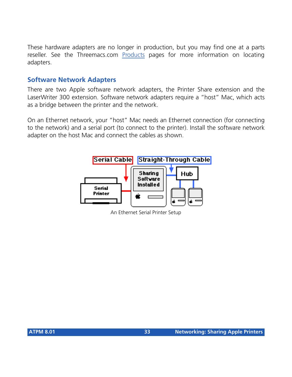These hardware adapters are no longer in production, but you may find one at a parts reseller. See the Threemacs.com [Products](http://www.atpm.com/network/products/index.html) pages for more information on locating adapters.

#### **Software Network Adapters**

There are two Apple software network adapters, the Printer Share extension and the LaserWriter 300 extension. Software network adapters require a "host" Mac, which acts as a bridge between the printer and the network.

On an Ethernet network, your "host" Mac needs an Ethernet connection (for connecting to the network) and a serial port (to connect to the printer). Install the software network adapter on the host Mac and connect the cables as shown.



An Ethernet Serial Printer Setup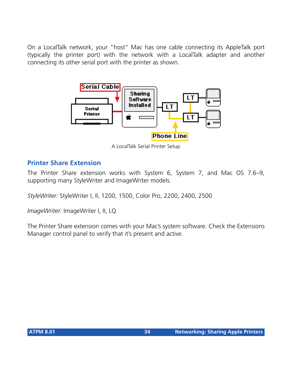On a LocalTalk network, your "host" Mac has one cable connecting its AppleTalk port (typically the printer port) with the network with a LocalTalk adapter and another connecting its other serial port with the printer as shown.



A LocalTalk Serial Printer Setup

#### **Printer Share Extension**

The Printer Share extension works with System 6, System 7, and Mac OS 7.6–9, supporting many StyleWriter and ImageWriter models.

*StyleWriter:* StyleWriter I, II, 1200, 1500, Color Pro, 2200, 2400, 2500

*ImageWriter:* ImageWriter I, II, LQ

The Printer Share extension comes with your Mac's system software. Check the Extensions Manager control panel to verify that it's present and active.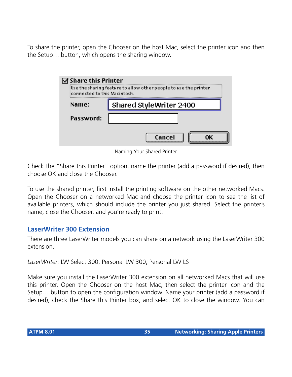To share the printer, open the Chooser on the host Mac, select the printer icon and then the Setup… button, which opens the sharing window.

| ' Share this Printer<br>Use the sharing feature to allow other people to use the printer!<br>connected to this Macintosh. |                         |
|---------------------------------------------------------------------------------------------------------------------------|-------------------------|
| Name:                                                                                                                     | Shared StyleWriter 2400 |
| Password:                                                                                                                 |                         |
|                                                                                                                           | Cancel                  |

Naming Your Shared Printer

Check the "Share this Printer" option, name the printer (add a password if desired), then choose OK and close the Chooser.

To use the shared printer, first install the printing software on the other networked Macs. Open the Chooser on a networked Mac and choose the printer icon to see the list of available printers, which should include the printer you just shared. Select the printer's name, close the Chooser, and you're ready to print.

#### **LaserWriter 300 Extension**

There are three LaserWriter models you can share on a network using the LaserWriter 300 extension.

*LaserWriter:* LW Select 300, Personal LW 300, Personal LW LS

Make sure you install the LaserWriter 300 extension on all networked Macs that will use this printer. Open the Chooser on the host Mac, then select the printer icon and the Setup… button to open the configuration window. Name your printer (add a password if desired), check the Share this Printer box, and select OK to close the window. You can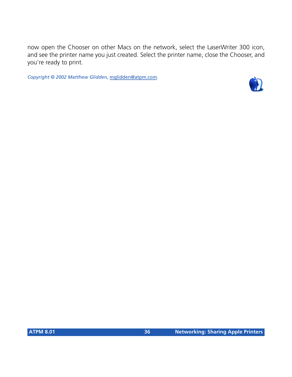now open the Chooser on other Macs on the network, select the LaserWriter 300 icon, and see the printer name you just created. Select the printer name, close the Chooser, and you're ready to print.

*Copyright © 2002 Matthew Glidden,* [mglidden@atpm.com](mailto:mglidden@atpm.com)*.*

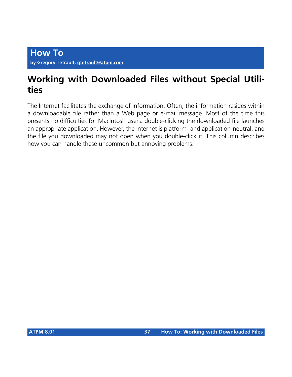## **Working with Downloaded Files without Special Utilities**

The Internet facilitates the exchange of information. Often, the information resides within a downloadable file rather than a Web page or e-mail message. Most of the time this presents no difficulties for Macintosh users: double-clicking the downloaded file launches an appropriate application. However, the Internet is platform- and application-neutral, and the file you downloaded may not open when you double-click it. This column describes how you can handle these uncommon but annoying problems.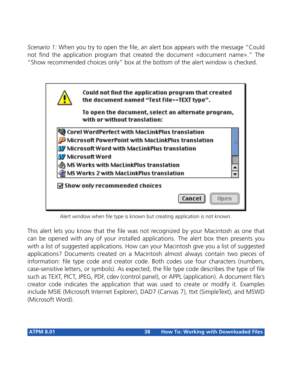*Scenario 1:* When you try to open the file, an alert box appears with the message "Could not find the application program that created the document «document name»." The "Show recommended choices only" box at the bottom of the alert window is checked.

| Could not find the application program that created<br>the document named "Test File--TEXT type".                                                                                                                                                              |
|----------------------------------------------------------------------------------------------------------------------------------------------------------------------------------------------------------------------------------------------------------------|
| To open the document, select an alternate program,<br>with or without translation:                                                                                                                                                                             |
| Corel WordPerfect with MacLinkPlus translation<br>Microsoft PowerPoint with MacLinkPlus translation<br>W Microsoft Word with MacLinkPlus translation<br>W Microsoft Word<br>MS Works with MacLinkPlus translation {<br>MS Works 2 with MacLinkPlus translation |
| $\boxtimes$ Show only recommended choices                                                                                                                                                                                                                      |
| Cancel<br>Open                                                                                                                                                                                                                                                 |

Alert window when file type is known but creating application is not known.

This alert lets you know that the file was not recognized by your Macintosh as one that can be opened with any of your installed applications. The alert box then presents you with a list of suggested applications. How can your Macintosh give you a list of suggested applications? Documents created on a Macintosh almost always contain two pieces of information: file type code and creator code. Both codes use four characters (numbers, case-sensitive letters, or symbols). As expected, the file type code describes the type of file such as TEXT, PICT, JPEG, PDF, cdev (control panel), or APPL (application). A document file's creator code indicates the application that was used to create or modify it. Examples include MSIE (Microsoft Internet Explorer), DAD7 (Canvas 7), ttxt (SimpleText), and MSWD (Microsoft Word).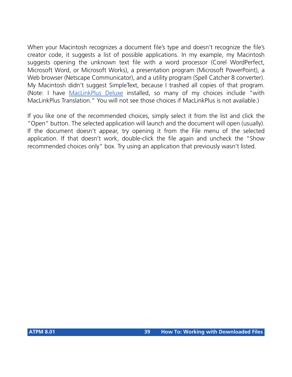When your Macintosh recognizes a document file's type and doesn't recognize the file's creator code, it suggests a list of possible applications. In my example, my Macintosh suggests opening the unknown text file with a word processor (Corel WordPerfect, Microsoft Word, or Microsoft Works), a presentation program (Microsoft PowerPoint), a Web browser (Netscape Communicator), and a utility program (Spell Catcher 8 converter). My Macintosh didn't suggest SimpleText, because I trashed all copies of that program. (Note: I have [MacLinkPlus Deluxe](http://www.dataviz.com/products/maclinkplus/) installed, so many of my choices include "with MacLinkPlus Translation." You will not see those choices if MacLinkPlus is not available.)

If you like one of the recommended choices, simply select it from the list and click the "Open" button. The selected application will launch and the document will open (usually). If the document doesn't appear, try opening it from the File menu of the selected application. If that doesn't work, double-click the file again and uncheck the "Show recommended choices only" box. Try using an application that previously wasn't listed.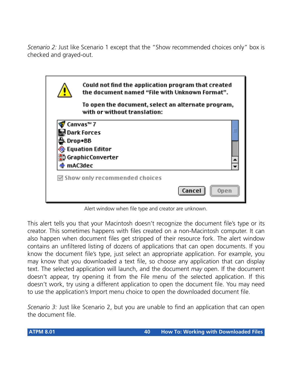*Scenario 2:* Just like Scenario 1 except that the "Show recommended choices only" box is checked and grayed-out.

| Could not find the application program that created<br>the document named "File with Unknown Format". |                |
|-------------------------------------------------------------------------------------------------------|----------------|
| To open the document, select an alternate program,<br>with or without translation:                    |                |
| Canvas™ 7                                                                                             |                |
| Dark Forces                                                                                           |                |
| Drop•BB                                                                                               |                |
| <b>Equation Editor</b>                                                                                |                |
| GraphicConverter                                                                                      |                |
| mAC3dec                                                                                               |                |
| $\boxdot$ Show only recommended choices                                                               |                |
|                                                                                                       | Cancel<br>Open |

Alert window when file type and creator are unknown.

This alert tells you that your Macintosh doesn't recognize the document file's type or its creator. This sometimes happens with files created on a non-Macintosh computer. It can also happen when document files get stripped of their resource fork. The alert window contains an unfiltered listing of dozens of applications that can open documents. If you know the document file's type, just select an appropriate application. For example, you may know that you downloaded a text file, so choose any application that can display text. The selected application will launch, and the document *may* open. If the document doesn't appear, try opening it from the File menu of the selected application. If this doesn't work, try using a different application to open the document file. You may need to use the application's Import menu choice to open the downloaded document file.

*Scenario 3:* Just like Scenario 2, but you are unable to find an application that can open the document file.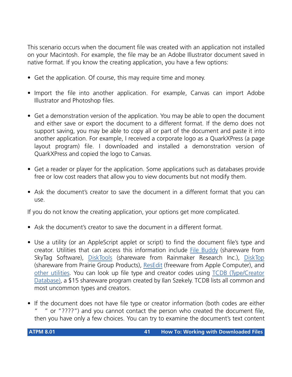This scenario occurs when the document file was created with an application not installed on your Macintosh. For example, the file may be an Adobe Illustrator document saved in native format. If you know the creating application, you have a few options:

- Get the application. Of course, this may require time and money.
- Import the file into another application. For example, Canvas can import Adobe Illustrator and Photoshop files.
- Get a demonstration version of the application. You may be able to open the document and either save or export the document to a different format. If the demo does not support saving, you may be able to copy all or part of the document and paste it into another application. For example, I received a corporate logo as a QuarkXPress (a page layout program) file. I downloaded and installed a demonstration version of QuarkXPress and copied the logo to Canvas.
- Get a reader or player for the application. Some applications such as databases provide free or low cost readers that allow you to view documents but not modify them.
- Ask the document's creator to save the document in a different format that you can use.

If you do not know the creating application, your options get more complicated.

- Ask the document's creator to save the document in a different format.
- Use a utility (or an AppleScript applet or script) to find the document file's type and creator. Utilities that can access this information include [File Buddy](http://www.skytag.com/filebuddy/index.html) (shareware from SkyTag Software), [DiskTools](http://www.ukc.mirror.ac.uk/sites/ftp.info-mac.org/info-mac/_Disk_&_File/disk-tools-333.hqx) (shareware from Rainmaker Research Inc.), [DiskTop](http://www.prgrsoft.com/pages/disktop.html) (shareware from Prairie Group Products), [ResEdit](http://download.info.apple.com/Apple_Support_Area/Apple_Software_Updates/English-North_American/Macintosh/Utilities/ResEdit_2.1.3.sea.bin) (freeware from Apple Computer), and [other utilities.](http://greenapple.mac.tucows.com/filemanmac.html) You can look up file type and creator codes using [TCDB \(Type/Creator](http://www.geocities.com/SiliconValley/Bay/5677/tcdbframe.html) [Database\),](http://www.geocities.com/SiliconValley/Bay/5677/tcdbframe.html) a \$15 shareware program created by Ilan Szekely. TCDB lists all common and most uncommon types and creators.
- If the document does not have file type or creator information (both codes are either " or " $????$ ") and you cannot contact the person who created the document file, then you have only a few choices. You can try to examine the document's text content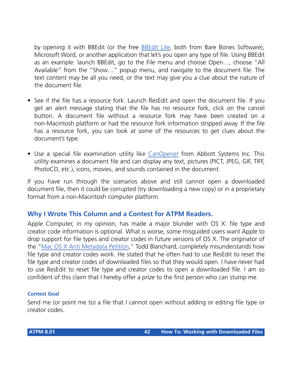by opening it with BBEdit (or the free **BBEdit Lite**, both from Bare Bones Software), Microsoft Word, or another application that let's you open any type of file. Using BBEdit as an example: launch BBEdit, go to the File menu and choose Open…, choose "All Available" from the "Show…" popup menu, and navigate to the document file. The text content may be all you need, or the text may give you a clue about the nature of the document file.

- See if the file has a resource fork. Launch ResEdit and open the document file. If you get an alert message stating that the file has no resource fork, click on the cancel button. A document file without a resource fork may have been created on a non-Macintosh platform or had the resource fork information stripped away. If the file has a resource fork, you can look at some of the resources to get clues about the document's type.
- Use a special file examination utility like [CanOpener](http://www.abbottsys.com/co.html) from Abbott Systems Inc. This utility examines a document file and can display any text, pictures (PICT, JPEG, GIF, TIFF, PhotoCD, etc.), icons, movies, and sounds contained in the document.

If you have run through the scenarios above and still cannot open a downloaded document file, then it could be corrupted (try downloading a new copy) or in a proprietary format from a non-Macintosh computer platform.

#### **Why I Wrote This Column and a Contest for ATPM Readers.**

Apple Computer, in my opinion, has made a major blunder with OS X: file type and creator code information is optional. What is worse, some misguided users want Apple to drop support for file types and creator codes in future versions of OS X. The originator of the ["Mac OS X Anti Metadata Petition,](http://www.petitiononline.com/osxnomd/petition.html)" Todd Blanchard, completely misunderstands how file type and creator codes work. He stated that he often had to use ResEdit to reset the file type and creator codes of downloaded files so that they would open. I have *never* had to use ResEdit to reset file type and creator codes to open a downloaded file. I am so confident of this claim that I hereby offer a *prize* to the first person who can stump me.

#### **Contest Goal**

Send me (or point me to) a file that I cannot open without adding or editing file type or creator codes.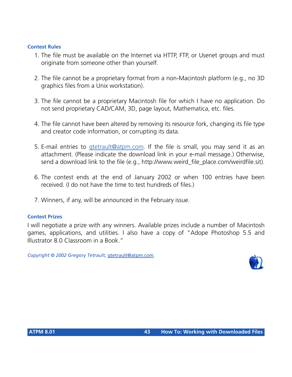#### **Contest Rules**

- 1. The file must be available on the Internet via HTTP, FTP, or Usenet groups and must originate from someone other than yourself.
- 2. The file cannot be a proprietary format from a non-Macintosh platform (e.g., no 3D graphics files from a Unix workstation).
- 3. The file cannot be a proprietary Macintosh file for which I have no application. Do not send proprietary CAD/CAM, 3D, page layout, Mathematica, etc. files.
- 4. The file cannot have been altered by removing its resource fork, changing its file type and creator code information, or corrupting its data.
- 5. E-mail entries to [gtetrault@atpm.com.](mailto:gtetrault@atpm.com) If the file is small, you may send it as an attachment. (Please indicate the download link in your e-mail message.) Otherwise, send a download link to the file (e.g., http://www.weird\_file\_place.com/weirdfile.sit).
- 6. The contest ends at the end of January 2002 or when 100 entries have been received. (I do not have the time to test hundreds of files.)
- 7. Winners, if any, will be announced in the February issue.

#### **Contest Prizes**

I will negotiate a prize with any winners. Available prizes include a number of Macintosh games, applications, and utilities. I also have a copy of "Adope Photoshop 5.5 and Illustrator 8.0 Classroom in a Book."

*Copyright © 2002 Gregory Tetrault,* [gtetrault@atpm.com](mailto:gtetrault@atpm.com)*.*

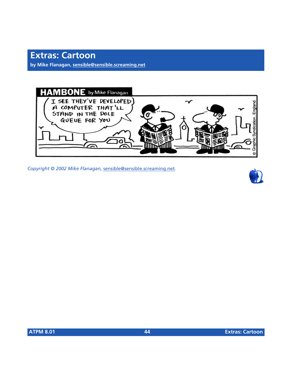**by Mike Flanagan, [sensible@sensible.screaming.net](mailto:sensible@sensible.screaming.net)**



*Copyright © 2002 Mike Flanagan,* [sensible@sensible.screaming.net](mailto:sensible@sensible.screaming.net)*.*

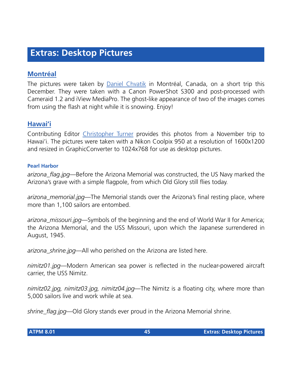## **Extras: Desktop Pictures**

### **[Montréal](http://www.atpm.com/8.01/montreal/)**

The pictures were taken by [Daniel Chvatik](mailto:dchvatik@atpm.com) in Montréal, Canada, on a short trip this December. They were taken with a Canon PowerShot S300 and post-processed with Cameraid 1.2 and iView MediaPro. The ghost-like appearance of two of the images comes from using the flash at night while it is snowing. Enjoy!

#### **[Hawai'i](http://www.atpm.com/8.01/hawaii/)**

Contributing Editor [Christopher Turner](mailto:cturner@atpm.com) provides this photos from a November trip to Hawai'i. The pictures were taken with a Nikon Coolpix 950 at a resolution of 1600x1200 and resized in GraphicConverter to 1024x768 for use as desktop pictures.

#### **Pearl Harbor**

*arizona\_flag.jpg*—Before the Arizona Memorial was constructed, the US Navy marked the Arizona's grave with a simple flagpole, from which Old Glory still flies today.

*arizona\_memorial.jpg*—The Memorial stands over the Arizona's final resting place, where more than 1,100 sailors are entombed.

*arizona\_missouri.jpg*—Symbols of the beginning and the end of World War II for America; the Arizona Memorial, and the USS Missouri, upon which the Japanese surrendered in August, 1945.

*arizona\_shrine.jpg*—All who perished on the Arizona are listed here.

*nimitz01.jpg*—Modern American sea power is reflected in the nuclear-powered aircraft carrier, the USS Nimitz.

*nimitz02.jpg, nimitz03.jpg, nimitz04.jpg*—The Nimitz is a floating city, where more than 5,000 sailors live and work while at sea.

*shrine\_flag.jpg*—Old Glory stands ever proud in the Arizona Memorial shrine.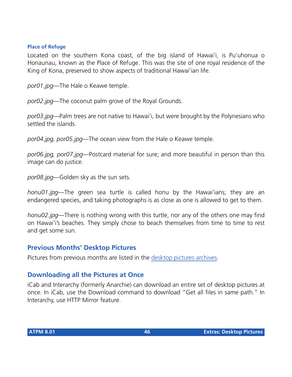#### **Place of Refuge**

Located on the southern Kona coast, of the big island of Hawai'i, is Pu'uhonua o Honaunau, known as the Place of Refuge. This was the site of one royal residence of the King of Kona, preserved to show aspects of traditional Hawai'ian life.

*por01.jpg*—The Hale o Keawe temple.

*por02.jpg*—The coconut palm grove of the Royal Grounds.

*por03.jpg*—Palm trees are not native to Hawai'i, but were brought by the Polynesians who settled the islands.

*por04.jpg, por05.jpg*—The ocean view from the Hale o Keawe temple.

*por06.jpg, por07.jpg*—Postcard material for sure; and more beautiful in person than this image can do justice.

*por08.jpg*—Golden sky as the sun sets.

*honu01.jpg*—The green sea turtle is called honu by the Hawai'ians; they are an endangered species, and taking photographs is as close as one is allowed to get to them.

*honu02.jpg*—There is nothing wrong with this turtle, nor any of the others one may find on Hawai'i's beaches. They simply chose to beach themselves from time to time to rest and get some sun.

### **Previous Months' Desktop Pictures**

Pictures from previous months are listed in the [desktop pictures archives](http://www.atpm.com/Back/desktop-pictures.shtml).

### **Downloading all the Pictures at Once**

iCab and Interarchy (formerly Anarchie) can download an entire set of desktop pictures at once. In iCab, use the Download command to download "Get all files in same path." In Interarchy, use HTTP Mirror feature.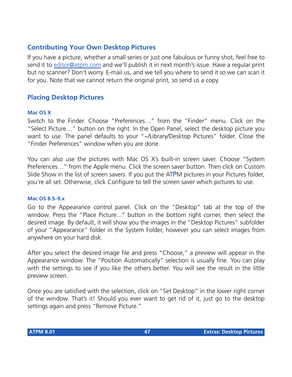## **Contributing Your Own Desktop Pictures**

If you have a picture, whether a small series or just one fabulous or funny shot, feel free to send it to [editor@atpm.com](mailto:editor@atpm.com) and we'll publish it in next month's issue. Have a regular print but no scanner? Don't worry. E-mail us, and we tell you where to send it so we can scan it for you. Note that we cannot return the original print, so send us a copy.

#### **Placing Desktop Pictures**

#### **Mac OS X**

Switch to the Finder. Choose "Preferences…" from the "Finder" menu. Click on the "Select Picture…" button on the right. In the Open Panel, select the desktop picture you want to use. The panel defaults to your "~/Library/Desktop Pictures" folder. Close the "Finder Preferences" window when you are done.

You can also use the pictures with Mac OS X's built-in screen saver. Choose "System Preferences…" from the Apple menu. Click the screen saver button. Then click on Custom Slide Show in the list of screen savers. If you put the ATPM pictures in your Pictures folder, you're all set. Otherwise, click Configure to tell the screen saver which pictures to use.

#### **Mac OS 8.5–9.x**

Go to the Appearance control panel. Click on the "Desktop" tab at the top of the window. Press the "Place Picture..." button in the bottom right corner, then select the desired image. By default, it will show you the images in the "Desktop Pictures" subfolder of your "Appearance" folder in the System Folder, however you can select images from anywhere on your hard disk.

After you select the desired image file and press "Choose," a preview will appear in the Appearance window. The "Position Automatically" selection is usually fine. You can play with the settings to see if you like the others better. You will see the result in the little preview screen.

Once you are satisfied with the selection, click on "Set Desktop" in the lower right corner of the window. That's it! Should you ever want to get rid of it, just go to the desktop settings again and press "Remove Picture."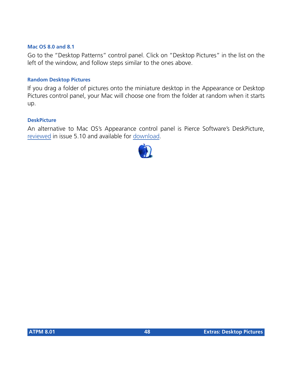#### **Mac OS 8.0 and 8.1**

Go to the "Desktop Patterns" control panel. Click on "Desktop Pictures" in the list on the left of the window, and follow steps similar to the ones above.

#### **Random Desktop Pictures**

If you drag a folder of pictures onto the miniature desktop in the Appearance or Desktop Pictures control panel, your Mac will choose one from the folder at random when it starts up.

#### **DeskPicture**

An alternative to Mac OS's Appearance control panel is Pierce Software's DeskPicture, [reviewed](http://www.atpm.com/5.10/roundup.shtml) in issue 5.10 and available for [download](http://www.peircesw.com/DeskPicture.html).

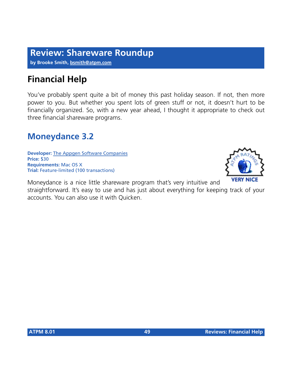## **Review: Shareware Roundup**

**by Brooke Smith, [bsmith@atpm.com](mailto:bsmith@atpm.com)**

## **Financial Help**

You've probably spent quite a bit of money this past holiday season. If not, then more power to you. But whether you spent lots of green stuff or not, it doesn't hurt to be financially organized. So, with a new year ahead, I thought it appropriate to check out three financial shareware programs.

## **Moneydance 3.2**

**Developer:** [The Appgen Software Companies](http://www.moneydance.com) **Price:** \$30 **Requirements:** Mac OS X **Trial:** Feature-limited (100 transactions)



Moneydance is a nice little shareware program that's very intuitive and straightforward. It's easy to use and has just about everything for keeping track of your accounts. You can also use it with Quicken.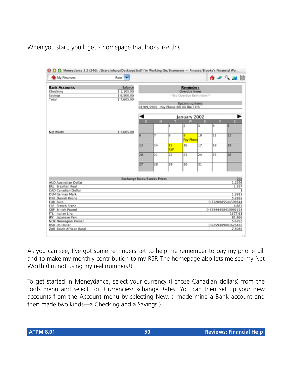When you start, you'll get a homepage that looks like this:

| <b>The My Finances</b>                             | Root V                       |                         |                |                  |                                       |    |    | ☆★♀₩Ⅲ                        |     |
|----------------------------------------------------|------------------------------|-------------------------|----------------|------------------|---------------------------------------|----|----|------------------------------|-----|
| <b>Bank Accounts</b>                               | Balance                      |                         |                |                  | <b>Reminders</b>                      |    |    |                              |     |
| Checking                                           | \$1,105.00                   |                         |                |                  | <b>Overdue Items</b>                  |    |    |                              |     |
| Savings                                            | \$6,500.00                   |                         |                |                  | **No Overdue Reminders**              |    |    |                              |     |
| Total                                              | \$7,605.00                   | <b>Upcoming Items</b>   |                |                  |                                       |    |    |                              |     |
|                                                    |                              |                         |                |                  | 01/09/2002 Pay Phone Bill on the 11th |    |    |                              |     |
|                                                    |                              |                         |                |                  | January 2002                          |    |    |                              |     |
|                                                    |                              | $\overline{\mathbf{s}}$ | M              |                  | w                                     |    |    | s                            |     |
|                                                    |                              |                         |                | ı                | 12                                    | 3  | 4  | Is                           |     |
| Net Worth                                          | \$7,605.00                   |                         | $\overline{r}$ |                  |                                       | 10 |    |                              |     |
|                                                    |                              | 6                       |                | s.               | Pay Phone                             |    | 11 | 12                           |     |
|                                                    |                              | 13                      | 14             | 15<br><b>RSP</b> | 16                                    | 17 | 18 | 19                           |     |
|                                                    |                              | 20                      | 21             | 22               | 23                                    | 24 | 25 | 26                           |     |
|                                                    |                              | 27                      | 28             | 29               | 30                                    | 31 |    |                              |     |
|                                                    | Exchange Rates/Stocks Prices |                         |                |                  |                                       |    |    |                              | 1/x |
| AUD Australian Dollar<br><b>BRL</b> Brazilian Real |                              |                         |                |                  |                                       |    |    | 1.2296<br>1.397              |     |
| CAD Canadian Dollar                                |                              |                         |                |                  |                                       |    |    |                              |     |
| DEM German Mark                                    |                              |                         |                |                  |                                       |    |    | 1.3915                       |     |
| DKK Danish Krone                                   |                              |                         |                |                  |                                       |    |    | 5.2885                       |     |
| EUR Euro                                           |                              |                         |                |                  |                                       |    |    | 0.7120985544399344           |     |
| FRF French Franc                                   |                              |                         |                |                  |                                       |    |    | 4.667                        |     |
| <b>C8P</b> British Pound                           |                              |                         |                |                  |                                       |    |    | 0.43344458410992154          |     |
| ITL Italian Lira                                   |                              |                         |                |                  |                                       |    |    | 1377.61                      |     |
| JPY Japanese Yen                                   |                              |                         |                |                  |                                       |    |    | 81.866                       |     |
| NOK Norwegian Kroner                               |                              |                         |                |                  |                                       |    |    | 5.6792                       |     |
| USD US Dollar<br>ZAR South African Rand            |                              |                         |                |                  |                                       |    |    | 0.6259389083625438<br>7.5089 |     |

As you can see, I've got some reminders set to help me remember to pay my phone bill and to make my monthly contribution to my RSP. The homepage also lets me see my Net Worth (I'm not using my real numbers!).

To get started in Moneydance, select your currency (I chose Canadian dollars) from the Tools menu and select Edit Currencies/Exchange Rates. You can then set up your new accounts from the Account menu by selecting New. (I made mine a Bank account and then made two kinds—a Checking and a Savings.)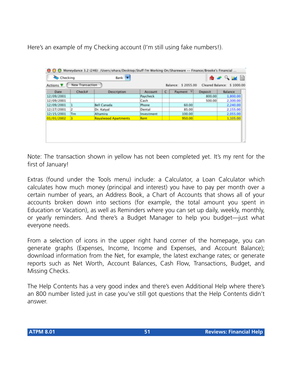Here's an example of my Checking account (I'm still using fake numbers!).

| Checking         |                 | Bank v                      |            |                                                    |                         |                | ₳▰◠◛▥          |
|------------------|-----------------|-----------------------------|------------|----------------------------------------------------|-------------------------|----------------|----------------|
| Actions <b>V</b> | New Transaction |                             |            | Cleared Balance: \$ 1000.00<br>Balance: \$ 2055.00 |                         |                |                |
| Date             | Check#          | Description                 | Account    | c                                                  | $\mathbf{v}$<br>Payment | <b>Deposit</b> | <b>Balance</b> |
| 12/09/2001       |                 |                             | Paycheck   |                                                    |                         | 800.00         | 1,800.00       |
| 12/09/2001       |                 |                             | Cash       |                                                    |                         | 500.00         | 2,300.00       |
| 12/09/2001       |                 | Bell Canada                 | Phone      |                                                    | 60.00                   |                | 2,240.00       |
| 12/27/2001       |                 | Dr. Katyal                  | Dental     |                                                    | 85.00                   |                | 2,155.00       |
| 12/15/2001       | Tm              | Altamira.                   | Investment |                                                    | 100.00                  |                | 2.055.00       |
| 01/01/2002       | в               | <b>Royalwood Apartments</b> | Rent       |                                                    | 950.00                  |                | 1,105.00       |

Note: The transaction shown in yellow has not been completed yet. It's my rent for the first of January!

Extras (found under the Tools menu) include: a Calculator, a Loan Calculator which calculates how much money (principal and interest) you have to pay per month over a certain number of years, an Address Book, a Chart of Accounts that shows all of your accounts broken down into sections (for example, the total amount you spent in Education or Vacation), as well as Reminders where you can set up daily, weekly, monthly, or yearly reminders. And there's a Budget Manager to help you budget—just what everyone needs.

From a selection of icons in the upper right hand corner of the homepage, you can generate graphs (Expenses, Income, Income and Expenses, and Account Balance); download information from the Net, for example, the latest exchange rates; or generate reports such as Net Worth, Account Balances, Cash Flow, Transactions, Budget, and Missing Checks.

The Help Contents has a very good index and there's even Additional Help where there's an 800 number listed just in case you've still got questions that the Help Contents didn't answer.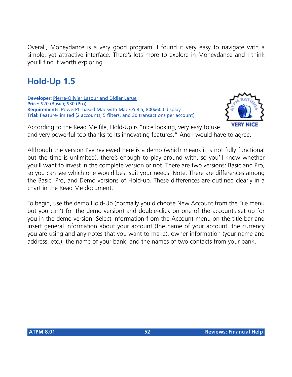Overall, Moneydance is a very good program. I found it very easy to navigate with a simple, yet attractive interface. There's lots more to explore in Moneydance and I think you'll find it worth exploring.

## **Hold-Up 1.5**

**Developer:** [Pierre-Olivier Latour and Didier Larue](http://www.hold-up.fr.st) **Price:** \$20 (Basic); \$30 (Pro) **Requirements:** PowerPC-based Mac with Mac OS 8.5, 800x600 display **Trial:** Feature-limited (2 accounts, 5 filters, and 30 transactions per account)



According to the Read Me file, Hold-Up is "nice looking, very easy to use and very powerful too thanks to its innovating features." And I would have to agree.

Although the version I've reviewed here is a demo (which means it is not fully functional but the time is unlimited), there's enough to play around with, so you'll know whether you'll want to invest in the complete version or not. There are two versions: Basic and Pro, so you can see which one would best suit your needs. Note: There are differences among the Basic, Pro, and Demo versions of Hold-up. These differences are outlined clearly in a chart in the Read Me document.

To begin, use the demo Hold-Up (normally you'd choose New Account from the File menu but you can't for the demo version) and double-click on one of the accounts set up for you in the demo version. Select Information from the Account menu on the title bar and insert general information about your account (the name of your account, the currency you are using and any notes that you want to make), owner information (your name and address, etc.), the name of your bank, and the names of two contacts from your bank.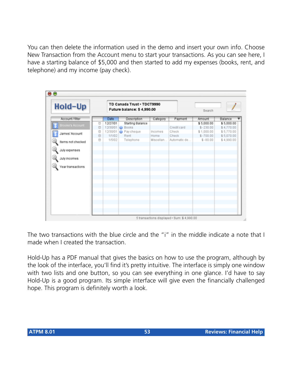You can then delete the information used in the demo and insert your own info. Choose New Transaction from the Account menu to start your transactions. As you can see here, I have a starting balance of \$5,000 and then started to add my expenses (books, rent, and telephone) and my income (pay check).

| <b>Hold-Up</b>    |         |             | TD Canada Trust - TDCT9990<br>Future balance: \$4,990.00 |           |              |            |            |
|-------------------|---------|-------------|----------------------------------------------------------|-----------|--------------|------------|------------|
| Account / filter  |         | <b>Date</b> | Description                                              | Category  | Payment      | Amount     | Balance    |
| Brooke's Account  | e       | 12/27/01    | Starting Balance                                         |           |              | \$5,000.00 | \$5,000.00 |
|                   | $\circ$ |             | 12/30/01 <b>@</b> Books                                  |           | Credit card  | $$-230.00$ | \$4,770.00 |
| James' Account    | e       |             | 12/30/01 @ Pay cheque                                    | Incomes   | Check        | \$1,000.00 | \$5,770.00 |
|                   | e       | 1/1/02      | Rent                                                     | Home      | Check        | $$-700.00$ | \$5,070.00 |
| Items not checked | e       | 1/5/02      | Telephone                                                | Miscellan | Automatic de | $$ -00.00$ | \$4,990.00 |
| July expenses     |         |             |                                                          |           |              |            |            |
| July incomes      |         |             |                                                          |           |              |            |            |
| Year transactions |         |             |                                                          |           |              |            |            |
|                   |         |             |                                                          |           |              |            |            |
|                   |         |             |                                                          |           |              |            |            |
|                   |         |             |                                                          |           |              |            |            |
|                   |         |             |                                                          |           |              |            |            |
|                   |         |             |                                                          |           |              |            |            |

The two transactions with the blue circle and the "i" in the middle indicate a note that I made when I created the transaction.

Hold-Up has a PDF manual that gives the basics on how to use the program, although by the look of the interface, you'll find it's pretty intuitive. The interface is simply one window with two lists and one button, so you can see everything in one glance. I'd have to say Hold-Up is a good program. Its simple interface will give even the financially challenged hope. This program is definitely worth a look.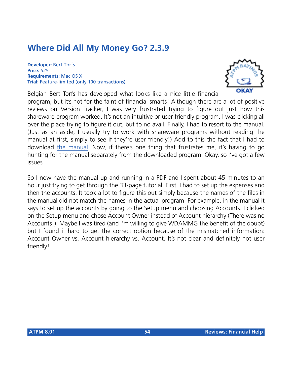## **Where Did All My Money Go? 2.3.9**

**Developer:** [Bert Torfs](http://users.pandora.be/bert.torfs) **Price:** \$25 **Requirements:** Mac OS X **Trial:** Feature-limited (only 100 transactions)



Belgian Bert Torfs has developed what looks like a nice little financial program, but it's not for the faint of financial smarts! Although there are a lot of positive reviews on Version Tracker, I was very frustrated trying to figure out just how this shareware program worked. It's not an intuitive or user friendly program. I was clicking all over the place trying to figure it out, but to no avail. Finally, I had to resort to the manual. (Just as an aside, I usually try to work with shareware programs without reading the manual at first, simply to see if they're user friendly!) Add to this the fact that I had to download [the manual](http://users.pandora.be/bert.torfs/WhereIst.html). Now, if there's one thing that frustrates me, it's having to go hunting for the manual separately from the downloaded program. Okay, so I've got a few issues…

So I now have the manual up and running in a PDF and I spent about 45 minutes to an hour just trying to get through the 33-page tutorial. First, I had to set up the expenses and then the accounts. It took a lot to figure this out simply because the names of the files in the manual did not match the names in the actual program. For example, in the manual it says to set up the accounts by going to the Setup menu and choosing Accounts. I clicked on the Setup menu and chose Account Owner instead of Account hierarchy (There was no Accounts!). Maybe I was tired (and I'm willing to give WDAMMG the benefit of the doubt) but I found it hard to get the correct option because of the mismatched information: Account Owner vs. Account hierarchy vs. Account. It's not clear and definitely not user friendly!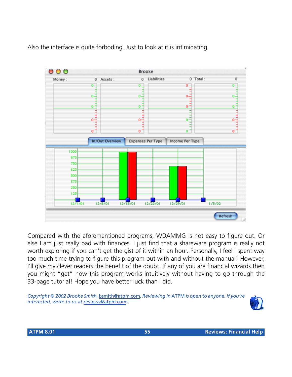Also the interface is quite forboding. Just to look at it is intimidating.



Compared with the aforementioned programs, WDAMMG is not easy to figure out. Or else I am just really bad with finances. I just find that a shareware program is really not worth exploring if you can't get the gist of it within an hour. Personally, I feel I spent way too much time trying to figure this program out with and without the manual! However, I'll give my clever readers the benefit of the doubt. If any of you are financial wizards then you might "get" how this program works intuitively without having to go through the 33-page tutorial! Hope you have better luck than I did.

*Copyright © 2002 Brooke Smith,* [bsmith@atpm.com](mailto:bsmith@atpm.com)*. Reviewing in* ATPM *is open to anyone. If you're interested, write to us at* [reviews@atpm.com](mailto:reviews@atpm.com)*.*

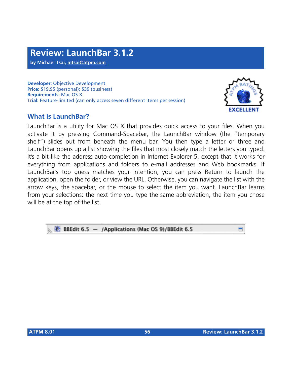**by Michael Tsai, [mtsai@atpm.com](mailto:mtsai@atpm.com)**

**Developer:** [Objective Development](http://www.obdev.at/products/launchbar/index.html) **Price:** \$19.95 (personal); \$39 (business) **Requirements:** Mac OS X **Trial:** Feature-limited (can only access seven different items per session)

## **What Is LaunchBar?**



LaunchBar is a utility for Mac OS X that provides quick access to your files. When you activate it by pressing Command-Spacebar, the LaunchBar window (the "temporary shelf") slides out from beneath the menu bar. You then type a letter or three and LaunchBar opens up a list showing the files that most closely match the letters you typed. It's a bit like the address auto-completion in Internet Explorer 5, except that it works for everything from applications and folders to e-mail addresses and Web bookmarks. If LaunchBar's top guess matches your intention, you can press Return to launch the application, open the folder, or view the URL. Otherwise, you can navigate the list with the arrow keys, the spacebar, or the mouse to select the item you want. LaunchBar learns from your selections: the next time you type the same abbreviation, the item you chose will be at the top of the list.

#### BB BBEdit 6.5 - /Applications (Mac OS 9)/BBEdit 6.5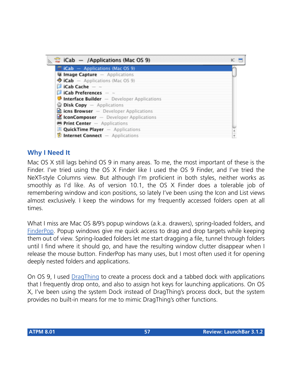

#### **Why I Need It**

Mac OS X still lags behind OS 9 in many areas. To me, the most important of these is the Finder. I've tried using the OS X Finder like I used the OS 9 Finder, and I've tried the NeXT-style Columns view. But although I'm proficient in both styles, neither works as smoothly as I'd like. As of version 10.1, the OS X Finder does a tolerable job of remembering window and icon positions, so lately I've been using the Icon and List views almost exclusively. I keep the windows for my frequently accessed folders open at all times.

What I miss are Mac OS 8/9's popup windows (a.k.a. drawers), spring-loaded folders, and [FinderPop](http://www.atpm.com/5.04/roundup.shtml). Popup windows give me quick access to drag and drop targets while keeping them out of view. Spring-loaded folders let me start dragging a file, tunnel through folders until I find where it should go, and have the resulting window clutter disappear when I release the mouse button. FinderPop has many uses, but I most often used it for opening deeply nested folders and applications.

On OS 9, I used [DragThing](http://www.atpm.com/6.07/updates.shtml) to create a process dock and a tabbed dock with applications that I frequently drop onto, and also to assign hot keys for launching applications. On OS X, I've been using the system Dock instead of DragThing's process dock, but the system provides no built-in means for me to mimic DragThing's other functions.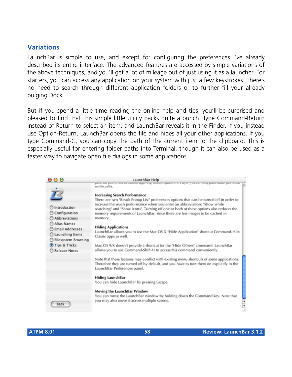#### **Variations**

LaunchBar is simple to use, and except for configuring the preferences I've already described its entire interface. The advanced features are accessed by simple variations of the above techniques, and you'll get a lot of mileage out of just using it as a launcher. For starters, you can access any application on your system with just a few keystrokes. There's no need to search through different application folders or to further fill your already bulging Dock.

But if you spend a little time reading the online help and tips, you'll be surprised and pleased to find that this simple little utility packs quite a punch. Type Command-Return instead of Return to select an item, and LaunchBar reveals it in the Finder. If you instead use Option-Return, LaunchBar opens the file and hides all your other applications. If you type Command-C, you can copy the path of the current item to the clipboard. This is especially useful for entering folder paths into Terminal, though it can also be used as a faster way to navigate open file dialogs in some applications.

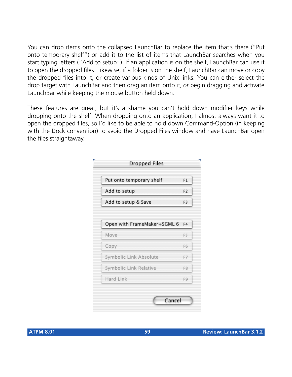You can drop items onto the collapsed LaunchBar to replace the item that's there ("Put onto temporary shelf") or add it to the list of items that LaunchBar searches when you start typing letters ("Add to setup"). If an application is on the shelf, LaunchBar can use it to open the dropped files. Likewise, if a folder is on the shelf, LaunchBar can move or copy the dropped files into it, or create various kinds of Unix links. You can either select the drop target with LaunchBar and then drag an item onto it, *or* begin dragging and activate LaunchBar while keeping the mouse button held down.

These features are great, but it's a shame you can't hold down modifier keys while dropping onto the shelf. When dropping onto an application, I almost always want it to open the dropped files, so I'd like to be able to hold down Command-Option (in keeping with the Dock convention) to avoid the Dropped Files window and have LaunchBar open the files straightaway.

| Put onto temporary shelf    | F <sub>1</sub> |
|-----------------------------|----------------|
| Add to setup                | F <sub>2</sub> |
| Add to setup & Save         | F <sub>3</sub> |
|                             |                |
| Open with FrameMaker+SGML 6 | F <sub>4</sub> |
| Move                        | F <sub>5</sub> |
| Copy                        | F6             |
| Symbolic Link Absolute      | F7             |
| Symbolic Link Relative      | F <sub>8</sub> |
| Hard Link                   | F9             |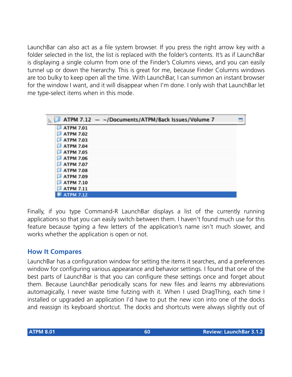LaunchBar can also act as a file system browser. If you press the right arrow key with a folder selected in the list, the list is replaced with the folder's contents. It's as if LaunchBar is displaying a single column from one of the Finder's Columns views, and you can easily tunnel up or down the hierarchy. This is great for me, because Finder Columns windows are too bulky to keep open all the time. With LaunchBar, I can summon an instant browser for the window I want, and it will disappear when I'm done. I only wish that LaunchBar let me type-select items when in this mode.

| ATPM 7.12 - ~/Documents/ATPM/Back Issues/Volume 7 |  |
|---------------------------------------------------|--|
| <b>ATPM 7.01</b><br>ш                             |  |
| <b>ATPM 7.02</b>                                  |  |
| <b>ATPM 7.03</b>                                  |  |
| <b>ATPM 7.04</b>                                  |  |
| <b>ATPM 7.05</b>                                  |  |
| <b>ATPM 7.06</b>                                  |  |
| <b>ATPM 7.07</b>                                  |  |
| <b>ATPM 7.08</b>                                  |  |
| <b>ATPM 7.09</b>                                  |  |
| <b>ATPM 7.10</b>                                  |  |
| <b>ATPM 7.11</b>                                  |  |
| <b>TPM 7.12</b>                                   |  |

Finally, if you type Command-R LaunchBar displays a list of the currently running applications so that you can easily switch between them. I haven't found much use for this feature because typing a few letters of the application's name isn't much slower, and works whether the application is open or not.

#### **How It Compares**

LaunchBar has a configuration window for setting the items it searches, and a preferences window for configuring various appearance and behavior settings. I found that one of the best parts of LaunchBar is that you can configure these settings once and forget about them. Because LaunchBar periodically scans for new files and learns my abbreviations automagically, I never waste time futzing with it. When I used DragThing, each time I installed or upgraded an application I'd have to put the new icon into one of the docks and reassign its keyboard shortcut. The docks and shortcuts were always slightly out of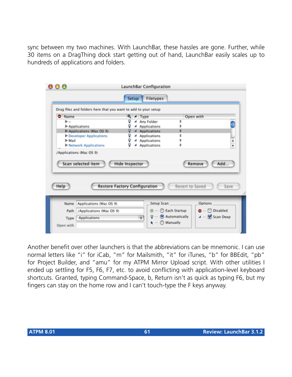sync between my two machines. With LaunchBar, these hassles are gone. Further, while 30 items on a DragThing dock start getting out of hand, LaunchBar easily scales up to hundreds of applications and folders.

|                                                                | Setup                                | Filetypes                             |                 |                           |               |
|----------------------------------------------------------------|--------------------------------------|---------------------------------------|-----------------|---------------------------|---------------|
| Drag files and folders here that you want to add to your setup |                                      |                                       |                 |                           |               |
| Name                                                           | Q<br>$\blacktriangleleft$ Type       |                                       |                 | Open with                 |               |
| Þ.,                                                            |                                      | Any Folder                            | ÷               |                           |               |
| Applications                                                   |                                      | Applications                          | ≑               |                           |               |
| Applications (Mac OS 9)                                        |                                      | 4 Applications                        | ¢<br>٥          |                           |               |
| Developer Applications<br>ll-Mail                              | Q<br>◢                               | <b>Applications</b><br>4 Applications | ¢               |                           |               |
| I Network Applications                                         | Q                                    | Applications                          | ÷               |                           | $\frac{4}{7}$ |
| /Applications (Mac OS 9)                                       |                                      |                                       |                 |                           |               |
| Scan selected item                                             | Hide Inspector                       |                                       |                 | Add<br>Remove             |               |
| Help                                                           | <b>Restore Factory Configuration</b> |                                       | Revert to Saved |                           | Save          |
| Applications (Mac OS 9)<br>Name                                |                                      | Setup Scan                            |                 | Options                   |               |
| /Applications (Mac OS 9)<br>Path                               |                                      | $\omega$ $-$                          | C Each Startup  | $\bullet$ $\Box$ Disabled |               |

Another benefit over other launchers is that the abbreviations can be mnemonic. I can use normal letters like "i" for iCab, "m" for Mailsmith, "it" for iTunes, "b" for BBEdit, "pb" for Project Builder, and "amu" for my ATPM Mirror Upload script. With other utilities I ended up settling for F5, F6, F7, etc. to avoid conflicting with application-level keyboard shortcuts. Granted, typing Command-Space, b, Return isn't as quick as typing F6, but my fingers can stay on the home row and I can't touch-type the F keys anyway.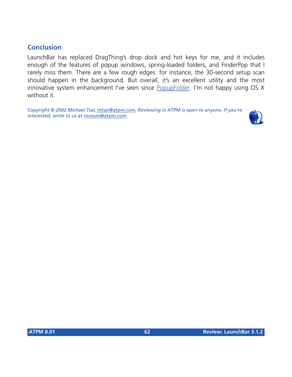## **Conclusion**

LaunchBar has replaced DragThing's drop dock and hot keys for me, and it includes enough of the features of popup windows, spring-loaded folders, and FinderPop that I rarely miss them. There are a few rough edges: for instance, the 30-second setup scan should happen in the background. But overall, it's an excellent utility and the most innovative system enhancement I've seen since [PopupFolder.](http://www.atpm.com/3.04/page15.shtml) I'm not happy using OS X without it.

*Copyright © 2002 Michael Tsai,* [mtsai@atpm.com](mailto:mtsai@atpm.com)*. Reviewing in* ATPM *is open to anyone. If you're interested, write to us at* [reviews@atpm.com](mailto:reviews@atpm.com)*.*

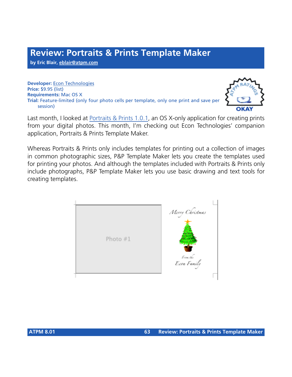**by Eric Blair, [eblair@atpm.com](mailto:eblair@atpm.com)**

**Developer:** [Econ Technologies](http://www.econtechnologies.com/site/pnptmpageoverview.htm) **Price:** \$9.95 (list) **Requirements:** Mac OS X **Trial:** Feature-limited (only four photo cells per template, only one print and save per session)



Last month, I looked at [Portraits & Prints 1.0.1,](http://www.atpm.com/7.12/portraits-and-prints.shtml) an OS X-only application for creating prints from your digital photos. This month, I'm checking out Econ Technologies' companion application, Portraits & Prints Template Maker.

Whereas Portraits & Prints only includes templates for printing out a collection of images in common photographic sizes, P&P Template Maker lets you create the templates used for printing your photos. And although the templates included with Portraits & Prints only include photographs, P&P Template Maker lets you use basic drawing and text tools for creating templates.

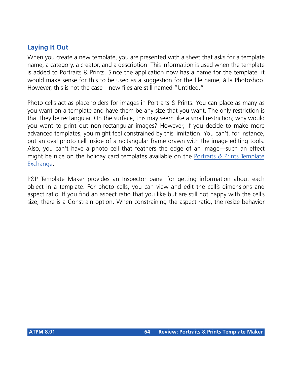## **Laying It Out**

When you create a new template, you are presented with a sheet that asks for a template name, a category, a creator, and a description. This information is used when the template is added to Portraits & Prints. Since the application now has a name for the template, it would make sense for this to be used as a suggestion for the file name, à la Photoshop. However, this is not the case—new files are still named "Untitled."

Photo cells act as placeholders for images in Portraits & Prints. You can place as many as you want on a template and have them be any size that you want. The only restriction is that they be rectangular. On the surface, this may seem like a small restriction; why would you want to print out non-rectangular images? However, if you decide to make more advanced templates, you might feel constrained by this limitation. You can't, for instance, put an oval photo cell inside of a rectangular frame drawn with the image editing tools. Also, you can't have a photo cell that feathers the edge of an image—such an effect might be nice on the holiday card templates available on the [Portraits & Prints Template](http://www.econtechnologies.com/site/templateXchange.htm) [Exchange](http://www.econtechnologies.com/site/templateXchange.htm).

P&P Template Maker provides an Inspector panel for getting information about each object in a template. For photo cells, you can view and edit the cell's dimensions and aspect ratio. If you find an aspect ratio that you like but are still not happy with the cell's size, there is a Constrain option. When constraining the aspect ratio, the resize behavior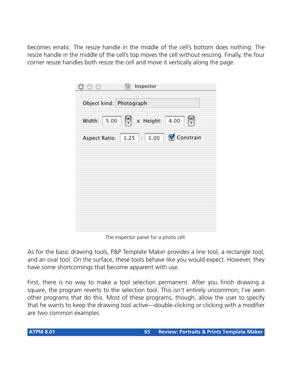becomes erratic. The resize handle in the middle of the cell's bottom does nothing. The resize handle in the middle of the cell's top moves the cell without resizing. Finally, the four corner resize handles both resize the cell and move it vertically along the page.

| 00                      | Inspector                                  |
|-------------------------|--------------------------------------------|
| Object kind: Photograph |                                            |
|                         | Width: $5.00$ $\rightarrow$ x Height: 4.00 |
|                         | Aspect Ratio: 1.25 : 1.00 V Constrain      |
|                         |                                            |
|                         |                                            |
|                         |                                            |
|                         |                                            |
|                         |                                            |

The inspector panel for a photo cell.

As for the basic drawing tools, P&P Template Maker provides a line tool, a rectangle tool, and an oval tool. On the surface, these tools behave like you would expect. However, they have some shortcomings that become apparent with use.

First, there is no way to make a tool selection permanent. After you finish drawing a square, the program reverts to the selection tool. This isn't entirely uncommon; I've seen other programs that do this. Most of these programs, though, allow the user to specify that he wants to keep the drawing tool active—double-clicking or clicking with a modifier are two common examples.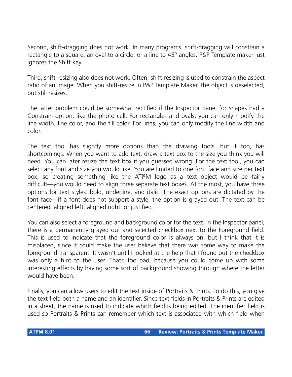Second, shift-dragging does not work. In many programs, shift-dragging will constrain a rectangle to a square, an oval to a circle, or a line to 45° angles. P&P Template maker just ignores the Shift key.

Third, shift-resizing also does not work. Often, shift-resizing is used to constrain the aspect ratio of an image. When you shift-resize in P&P Template Maker, the object is deselected, but still resizes.

The latter problem could be somewhat rectified if the Inspector panel for shapes had a Constrain option, like the photo cell. For rectangles and ovals, you can only modify the line width, line color, and the fill color. For lines, you can only modify the line width and color.

The text tool has slightly more options than the drawing tools, but it too, has shortcomings. When you want to add text, draw a text box to the size you think you will need. You can later resize the text box if you guessed wrong. For the text tool, you can select any font and size you would like. You are limited to one font face and size per text box, so creating something like the ATPM logo as a text object would be fairly difficult—you would need to align three separate text boxes. At the most, you have three options for text styles: bold, underline, and italic. The exact options are dictated by the font face—if a font does not support a style, the option is grayed out. The text can be centered, aligned left, aligned right, or justified.

You can also select a foreground and background color for the text. In the Inspector panel, there is a permanently grayed out and selected checkbox next to the Foreground field. This is used to indicate that the foreground color is always on, but I think that it is misplaced, since it could make the user believe that there was some way to make the foreground transparent. It wasn't until I looked at the help that I found out the checkbox was only a hint to the user. That's too bad, because you could come up with some interesting effects by having some sort of background showing through where the letter would have been.

Finally, you can allow users to edit the text inside of Portraits & Prints. To do this, you give the text field both a name and an identifier. Since text fields in Portraits & Prints are edited in a sheet, the name is used to indicate which field is being edited. The identifier field is used so Portraits & Prints can remember which text is associated with which field when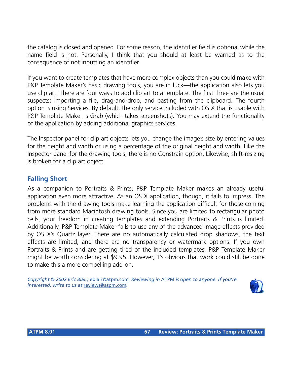the catalog is closed and opened. For some reason, the identifier field is optional while the name field is not. Personally, I think that you should at least be warned as to the consequence of not inputting an identifier.

If you want to create templates that have more complex objects than you could make with P&P Template Maker's basic drawing tools, you are in luck—the application also lets you use clip art. There are four ways to add clip art to a template. The first three are the usual suspects: importing a file, drag-and-drop, and pasting from the clipboard. The fourth option is using Services. By default, the only service included with OS X that is usable with P&P Template Maker is Grab (which takes screenshots). You may extend the functionality of the application by adding additional graphics services.

The Inspector panel for clip art objects lets you change the image's size by entering values for the height and width or using a percentage of the original height and width. Like the Inspector panel for the drawing tools, there is no Constrain option. Likewise, shift-resizing is broken for a clip art object.

### **Falling Short**

As a companion to Portraits & Prints, P&P Template Maker makes an already useful application even more attractive. As an OS X application, though, it fails to impress. The problems with the drawing tools make learning the application difficult for those coming from more standard Macintosh drawing tools. Since you are limited to rectangular photo cells, your freedom in creating templates and extending Portraits & Prints is limited. Additionally, P&P Template Maker fails to use any of the advanced image effects provided by OS X's Quartz layer. There are no automatically calculated drop shadows, the text effects are limited, and there are no transparency or watermark options. If you own Portraits & Prints and are getting tired of the included templates, P&P Template Maker might be worth considering at \$9.95. However, it's obvious that work could still be done to make this a more compelling add-on.

*Copyright © 2002 Eric Blair,* [eblair@atpm.com](mailto:eblair@atpm.com)*. Reviewing in* ATPM *is open to anyone. If you're interested, write to us at* [reviews@atpm.com](mailto:reviews@atpm.com)*.*

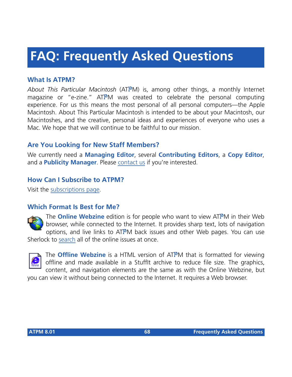# **FAQ: Frequently Asked Questions**

### **What Is ATPM?**

*About This Particular Macintosh* (ATPM) is, among other things, a monthly Internet magazine or "e-zine." ATPM was created to celebrate the personal computing experience. For us this means the most personal of all personal computers—the Apple Macintosh. About This Particular Macintosh is intended to be about your Macintosh, our Macintoshes, and the creative, personal ideas and experiences of everyone who uses a Mac. We hope that we will continue to be faithful to our mission.

## **Are You Looking for New Staff Members?**

We currently need a **Managing Editor**, several **Contributing Editors**, a **Copy Editor**, and a **Publicity Manager**. Please [contact us](mailto:editor@atpm.com) if you're interested.

### **How Can I Subscribe to ATPM?**

Visit the [subscriptions page](http://www.atpm.com/subscribe).

#### **Which Format Is Best for Me?**



The **Online Webzine** edition is for people who want to view ATPM in their Web browser, while connected to the Internet. It provides sharp text, lots of navigation options, and live links to ATPM back issues and other Web pages. You can use Sherlock to [search](http://www.atpm.com/search) all of the online issues at once.



The **Offline Webzine** is a HTML version of ATPM that is formatted for viewing offline and made available in a StuffIt archive to reduce file size. The graphics, content, and navigation elements are the same as with the Online Webzine, but

you can view it without being connected to the Internet. It requires a Web browser.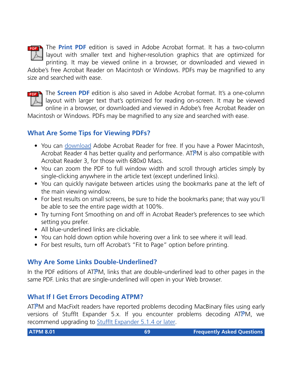

The **Print PDF** edition is saved in Adobe Acrobat format. It has a two-column layout with smaller text and higher-resolution graphics that are optimized for printing. It may be viewed online in a browser, or downloaded and viewed in

Adobe's free Acrobat Reader on Macintosh or Windows. PDFs may be magnified to any size and searched with ease.



**FREE** The **Screen PDF** edition is also saved in Adobe Acrobat format. It's a one-column layout with larger text that's optimized for reading on-screen. It may be viewed online in a browser, or downloaded and viewed in Adobe's free Acrobat Reader on

Macintosh or Windows. PDFs may be magnified to any size and searched with ease.

### **What Are Some Tips for Viewing PDFs?**

- You can [download](http://www.adobe.com/prodindex/acrobat/readstep.html) Adobe Acrobat Reader for free. If you have a Power Macintosh, Acrobat Reader 4 has better quality and performance. ATPM is also compatible with Acrobat Reader 3, for those with 680x0 Macs.
- You can zoom the PDF to full window width and scroll through articles simply by single-clicking anywhere in the article text (except underlined links).
- You can quickly navigate between articles using the bookmarks pane at the left of the main viewing window.
- For best results on small screens, be sure to hide the bookmarks pane; that way you'll be able to see the entire page width at 100%.
- Try turning Font Smoothing on and off in Acrobat Reader's preferences to see which setting you prefer.
- All blue-underlined links are clickable
- You can hold down option while hovering over a link to see where it will lead.
- For best results, turn off Acrobat's "Fit to Page" option before printing.

## **Why Are Some Links Double-Underlined?**

In the PDF editions of ATPM, links that are double-underlined lead to other pages in the same PDF. Links that are single-underlined will open in your Web browser.

### **What If I Get Errors Decoding ATPM?**

ATPM and MacFixIt readers have reported problems decoding MacBinary files using early versions of Stufflt Expander 5.x. If you encounter problems decoding ATPM, we recommend upgrading to [StuffIt Expander 5.1.4 or later](http://www.aladdinsys.com/expander/index.html).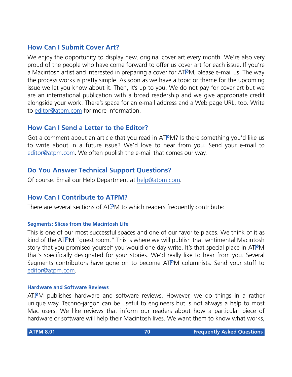#### **How Can I Submit Cover Art?**

We enjoy the opportunity to display new, original cover art every month. We're also very proud of the people who have come forward to offer us cover art for each issue. If you're a Macintosh artist and interested in preparing a cover for ATPM, please e-mail us. The way the process works is pretty simple. As soon as we have a topic or theme for the upcoming issue we let you know about it. Then, it's up to you. We do not pay for cover art but we are an international publication with a broad readership and we give appropriate credit alongside your work. There's space for an e-mail address and a Web page URL, too. Write to [editor@atpm.com](mailto:editor@atpm.com) for more information.

#### **How Can I Send a Letter to the Editor?**

Got a comment about an article that you read in ATPM? Is there something you'd like us to write about in a future issue? We'd love to hear from you. Send your e-mail to [editor@atpm.com.](mailto:editor@atpm.com) We often publish the e-mail that comes our way.

### **Do You Answer Technical Support Questions?**

Of course. Email our Help Department at [help@atpm.com](mailto:help@atpm.com).

#### **How Can I Contribute to ATPM?**

There are several sections of ATPM to which readers frequently contribute:

#### **Segments: Slices from the Macintosh Life**

This is one of our most successful spaces and one of our favorite places. We think of it as kind of the ATPM "guest room." This is where we will publish that sentimental Macintosh story that you promised yourself you would one day write. It's that special place in ATPM that's specifically designated for your stories. We'd really like to hear from you. Several Segments contributors have gone on to become ATPM columnists. Send your stuff to [editor@atpm.com.](mailto:editor@atpm.com)

#### **Hardware and Software Reviews**

 $ATPM$  publishes hardware and software reviews. However, we do things in a rather unique way. Techno-jargon can be useful to engineers but is not always a help to most Mac users. We like reviews that inform our readers about how a particular piece of hardware or software will help their Macintosh lives. We want them to know what works,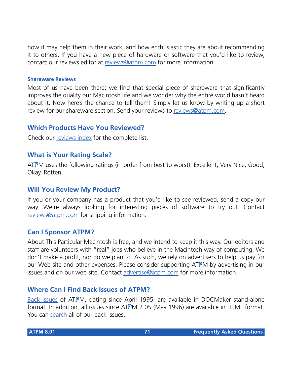how it may help them in their work, and how enthusiastic they are about recommending it to others. If you have a new piece of hardware or software that you'd like to review, contact our reviews editor at [reviews@atpm.com](mailto:reviews@atpm.com) for more information.

#### **Shareware Reviews**

Most of us have been there; we find that special piece of shareware that significantly improves the quality our Macintosh life and we wonder why the entire world hasn't heard about it. Now here's the chance to tell them! Simply let us know by writing up a short review for our shareware section. Send your reviews to [reviews@atpm.com](mailto:reviews@atpm.com).

#### **Which Products Have You Reviewed?**

Check our [reviews index](http://www.atpm.com/reviews) for the complete list.

#### **What is Your Rating Scale?**

ATPM uses the following ratings (in order from best to worst): Excellent, Very Nice, Good, Okay, Rotten.

### **Will You Review My Product?**

If you or your company has a product that you'd like to see reviewed, send a copy our way. We're always looking for interesting pieces of software to try out. Contact [reviews@atpm.com](mailto:reviews@atpm.com) for shipping information.

#### **Can I Sponsor ATPM?**

About This Particular Macintosh is free, and we intend to keep it this way. Our editors and staff are volunteers with "real" jobs who believe in the Macintosh way of computing. We don't make a profit, nor do we plan to. As such, we rely on advertisers to help us pay for our Web site and other expenses. Please consider supporting ATPM by advertising in our issues and on our web site. Contact<advertise@atpm.com>for more information.

### **Where Can I Find Back Issues of ATPM?**

[Back issues](http://www.atpm.com/Back/) of ATPM, dating since April 1995, are available in DOCMaker stand-alone format. In addition, all issues since ATPM 2.05 (May 1996) are available in HTML format. You can [search](http://www.atpm.com/search) all of our back issues.